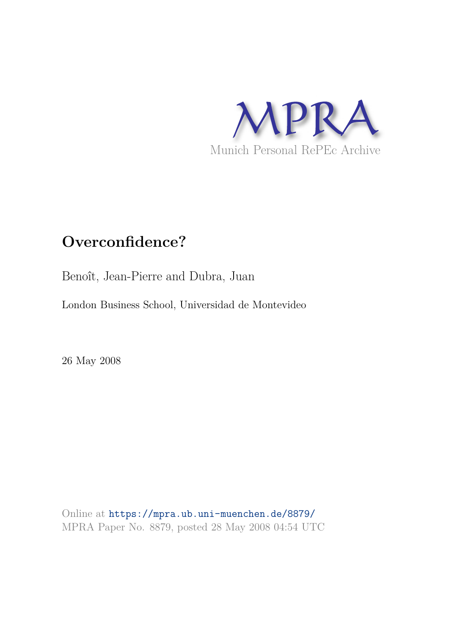

# **Overconfidence?**

Benoît, Jean-Pierre and Dubra, Juan

London Business School, Universidad de Montevideo

26 May 2008

Online at https://mpra.ub.uni-muenchen.de/8879/ MPRA Paper No. 8879, posted 28 May 2008 04:54 UTC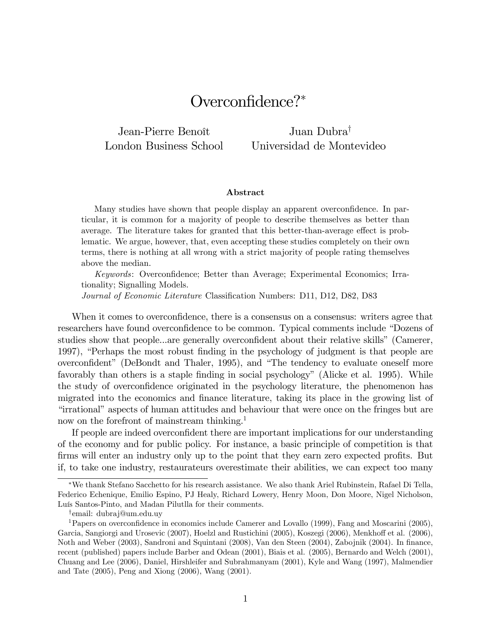# Overconfidence?\*

Jean-Pierre Benoît London Business School

Juan Dubra<sup>†</sup> Universidad de Montevideo

#### Abstract

Many studies have shown that people display an apparent overconfidence. In particular, it is common for a majority of people to describe themselves as better than average. The literature takes for granted that this better-than-average effect is problematic. We argue, however, that, even accepting these studies completely on their own terms, there is nothing at all wrong with a strict majority of people rating themselves above the median.

Keywords: Overconfidence; Better than Average; Experimental Economics; Irrationality; Signalling Models.

Journal of Economic Literature Classification Numbers: D11, D12, D82, D83

When it comes to overconfidence, there is a consensus on a consensus: writers agree that researchers have found overconfidence to be common. Typical comments include "Dozens of studies show that people...are generally overconfident about their relative skills" (Camerer, 1997), "Perhaps the most robust finding in the psychology of judgment is that people are overconfident" (DeBondt and Thaler, 1995), and "The tendency to evaluate oneself more favorably than others is a staple finding in social psychology" (Alicke et al. 1995). While the study of overconfidence originated in the psychology literature, the phenomenon has migrated into the economics and finance literature, taking its place in the growing list of ìirrationalî aspects of human attitudes and behaviour that were once on the fringes but are now on the forefront of mainstream thinking.<sup>1</sup>

If people are indeed overconfident there are important implications for our understanding of the economy and for public policy. For instance, a basic principle of competition is that firms will enter an industry only up to the point that they earn zero expected profits. But if, to take one industry, restaurateurs overestimate their abilities, we can expect too many

We thank Stefano Sacchetto for his research assistance. We also thank Ariel Rubinstein, Rafael Di Tella, Federico Echenique, Emilio Espino, PJ Healy, Richard Lowery, Henry Moon, Don Moore, Nigel Nicholson, Luís Santos-Pinto, and Madan Pilutlla for their comments.

<sup>&</sup>lt;sup>†</sup>email: dubraj@um.edu.uy

<sup>&</sup>lt;sup>1</sup>Papers on overconfidence in economics include Camerer and Lovallo  $(1999)$ , Fang and Moscarini  $(2005)$ , Garcia, Sangiorgi and Urosevic (2007), Hoelzl and Rustichini (2005), Koszegi (2006), Menkhoff et al. (2006), Noth and Weber (2003), Sandroni and Squintani (2008), Van den Steen (2004), Zabojnik (2004). In finance, recent (published) papers include Barber and Odean (2001), Biais et al. (2005), Bernardo and Welch (2001), Chuang and Lee (2006), Daniel, Hirshleifer and Subrahmanyam (2001), Kyle and Wang (1997), Malmendier and Tate (2005), Peng and Xiong (2006), Wang (2001).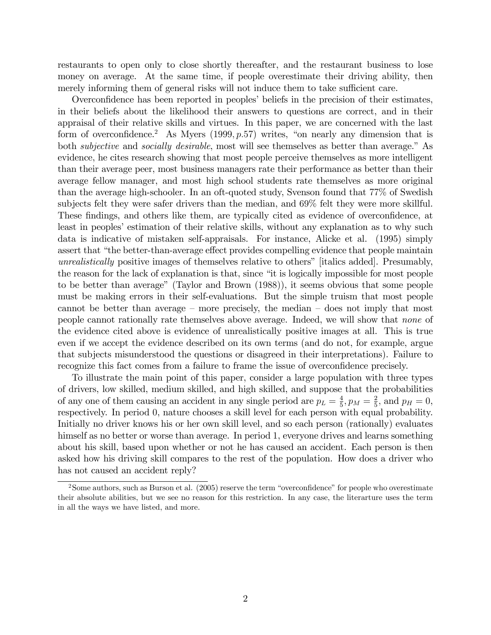restaurants to open only to close shortly thereafter, and the restaurant business to lose money on average. At the same time, if people overestimate their driving ability, then merely informing them of general risks will not induce them to take sufficient care.

Overconfidence has been reported in peoples' beliefs in the precision of their estimates, in their beliefs about the likelihood their answers to questions are correct, and in their appraisal of their relative skills and virtues. In this paper, we are concerned with the last form of overconfidence.<sup>2</sup> As Myers (1999,  $p.57$ ) writes, "on nearly any dimension that is both *subjective* and *socially desirable*, most will see themselves as better than average." As evidence, he cites research showing that most people perceive themselves as more intelligent than their average peer, most business managers rate their performance as better than their average fellow manager, and most high school students rate themselves as more original than the average high-schooler. In an oft-quoted study, Svenson found that 77% of Swedish subjects felt they were safer drivers than the median, and 69% felt they were more skillful. These findings, and others like them, are typically cited as evidence of overconfidence, at least in peoples' estimation of their relative skills, without any explanation as to why such data is indicative of mistaken self-appraisals. For instance, Alicke et al. (1995) simply assert that "the better-than-average effect provides compelling evidence that people maintain unrealistically positive images of themselves relative to others" [italics added]. Presumably, the reason for the lack of explanation is that, since "it is logically impossible for most people to be better than averageî (Taylor and Brown (1988)), it seems obvious that some people must be making errors in their self-evaluations. But the simple truism that most people cannot be better than average  $-$  more precisely, the median  $-$  does not imply that most people cannot rationally rate themselves above average. Indeed, we will show that none of the evidence cited above is evidence of unrealistically positive images at all. This is true even if we accept the evidence described on its own terms (and do not, for example, argue that subjects misunderstood the questions or disagreed in their interpretations). Failure to recognize this fact comes from a failure to frame the issue of overconfidence precisely.

To illustrate the main point of this paper, consider a large population with three types of drivers, low skilled, medium skilled, and high skilled, and suppose that the probabilities of any one of them causing an accident in any single period are  $p_L = \frac{4}{5}$  $\frac{4}{5}, p_M = \frac{2}{5}$  $\frac{2}{5}$ , and  $p_H = 0$ , respectively. In period 0, nature chooses a skill level for each person with equal probability. Initially no driver knows his or her own skill level, and so each person (rationally) evaluates himself as no better or worse than average. In period 1, everyone drives and learns something about his skill, based upon whether or not he has caused an accident. Each person is then asked how his driving skill compares to the rest of the population. How does a driver who has not caused an accident reply?

 $2$ Some authors, such as Burson et al. (2005) reserve the term "overconfidence" for people who overestimate their absolute abilities, but we see no reason for this restriction. In any case, the literarture uses the term in all the ways we have listed, and more.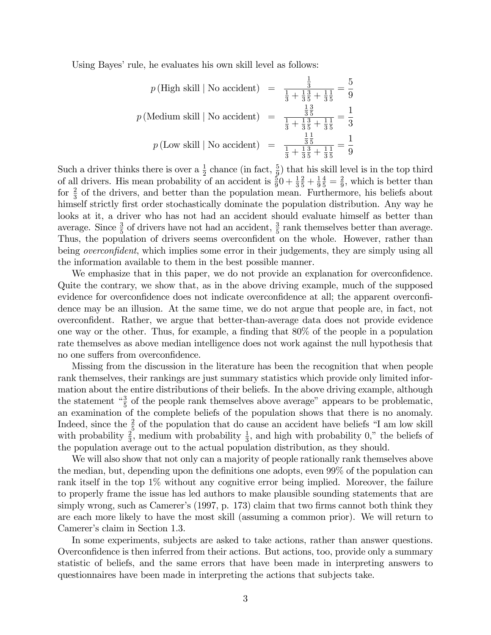Using Bayes' rule, he evaluates his own skill level as follows:

$$
p(\text{High skill} \mid \text{No accident}) = \frac{\frac{1}{3}}{\frac{1}{3} + \frac{1}{3}\frac{3}{5} + \frac{1}{3}\frac{1}{5}} = \frac{5}{9}
$$

$$
p(\text{Median skill} \mid \text{No accident}) = \frac{\frac{13}{3}\frac{3}{5}}{\frac{1}{3} + \frac{13}{3}\frac{3}{5} + \frac{1}{3}\frac{1}{5}} = \frac{1}{3}
$$

$$
p(\text{Low skill} \mid \text{No accident}) = \frac{\frac{11}{3}\frac{1}{5}}{\frac{1}{3} + \frac{13}{3}\frac{5}{5} + \frac{1}{3}\frac{1}{5}} = \frac{1}{9}
$$

Such a driver thinks there is over a  $\frac{1}{2}$  chance (in fact,  $\frac{5}{9}$ ) that his skill level is in the top third of all drivers. His mean probability of an accident is  $\frac{5}{9}0 + \frac{1}{3}$  $rac{2}{5} + \frac{1}{9}$ 9  $\frac{4}{5} = \frac{2}{9}$  $\frac{2}{9}$ , which is better than for  $\frac{2}{3}$  of the drivers, and better than the population mean. Furthermore, his beliefs about himself strictly first order stochastically dominate the population distribution. Any way he looks at it, a driver who has not had an accident should evaluate himself as better than average. Since  $\frac{3}{5}$  of drivers have not had an accident,  $\frac{3}{5}$  rank themselves better than average. Thus, the population of drivers seems overconfident on the whole. However, rather than being *overconfident*, which implies some error in their judgements, they are simply using all the information available to them in the best possible manner.

We emphasize that in this paper, we do not provide an explanation for overconfidence. Quite the contrary, we show that, as in the above driving example, much of the supposed evidence for overconfidence does not indicate overconfidence at all; the apparent overconfidence may be an illusion. At the same time, we do not argue that people are, in fact, not overconÖdent. Rather, we argue that better-than-average data does not provide evidence one way or the other. Thus, for example, a finding that  $80\%$  of the people in a population rate themselves as above median intelligence does not work against the null hypothesis that no one suffers from overconfidence.

Missing from the discussion in the literature has been the recognition that when people rank themselves, their rankings are just summary statistics which provide only limited information about the entire distributions of their beliefs. In the above driving example, although the statement  $\frac{3}{5}$  of the people rank themselves above average" appears to be problematic, an examination of the complete beliefs of the population shows that there is no anomaly. Indeed, since the  $\frac{2}{5}$  of the population that do cause an accident have beliefs "I am low skill with probability  $\frac{2}{3}$ , medium with probability  $\frac{1}{3}$ , and high with probability 0," the beliefs of the population average out to the actual population distribution, as they should.

We will also show that not only can a majority of people rationally rank themselves above the median, but, depending upon the definitions one adopts, even 99% of the population can rank itself in the top 1% without any cognitive error being implied. Moreover, the failure to properly frame the issue has led authors to make plausible sounding statements that are simply wrong, such as Camerer's  $(1997, p. 173)$  claim that two firms cannot both think they are each more likely to have the most skill (assuming a common prior). We will return to Camerer's claim in Section 1.3.

In some experiments, subjects are asked to take actions, rather than answer questions. Overconfidence is then inferred from their actions. But actions, too, provide only a summary statistic of beliefs, and the same errors that have been made in interpreting answers to questionnaires have been made in interpreting the actions that subjects take.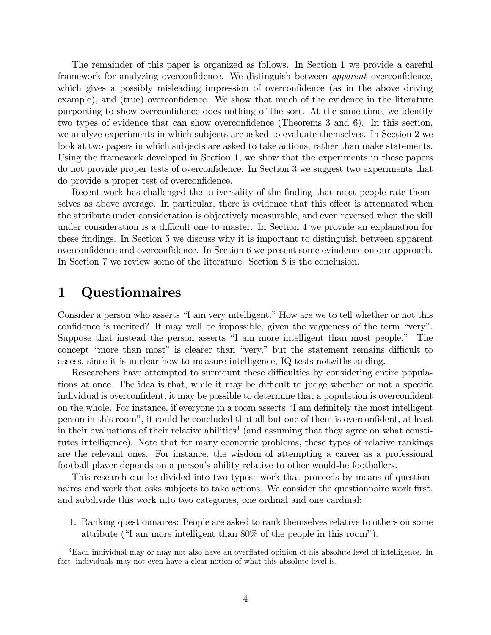The remainder of this paper is organized as follows. In Section 1 we provide a careful framework for analyzing overconfidence. We distinguish between *apparent* overconfidence, which gives a possibly misleading impression of overconfidence (as in the above driving example), and (true) overconfidence. We show that much of the evidence in the literature purporting to show overconfidence does nothing of the sort. At the same time, we identify two types of evidence that can show overconfidence (Theorems 3 and 6). In this section, we analyze experiments in which subjects are asked to evaluate themselves. In Section 2 we look at two papers in which subjects are asked to take actions, rather than make statements. Using the framework developed in Section 1, we show that the experiments in these papers do not provide proper tests of overconfidence. In Section 3 we suggest two experiments that do provide a proper test of overconfidence.

Recent work has challenged the universality of the finding that most people rate themselves as above average. In particular, there is evidence that this effect is attenuated when the attribute under consideration is objectively measurable, and even reversed when the skill under consideration is a difficult one to master. In Section 4 we provide an explanation for these findings. In Section 5 we discuss why it is important to distinguish between apparent overconÖdence and overconÖdence. In Section 6 we present some evindence on our approach. In Section 7 we review some of the literature. Section 8 is the conclusion.

### 1 Questionnaires

Consider a person who asserts "I am very intelligent." How are we to tell whether or not this confidence is merited? It may well be impossible, given the vagueness of the term "very". Suppose that instead the person asserts "I am more intelligent than most people." The concept "more than most" is clearer than "very," but the statement remains difficult to assess, since it is unclear how to measure intelligence, IQ tests notwithstanding.

Researchers have attempted to surmount these difficulties by considering entire populations at once. The idea is that, while it may be difficult to judge whether or not a specific individual is overconfident, it may be possible to determine that a population is overconfident on the whole. For instance, if everyone in a room asserts "I am definitely the most intelligent person in this room", it could be concluded that all but one of them is overconfident, at least in their evaluations of their relative abilities<sup>3</sup> (and assuming that they agree on what constitutes intelligence). Note that for many economic problems, these types of relative rankings are the relevant ones. For instance, the wisdom of attempting a career as a professional football player depends on a person's ability relative to other would-be footballers.

This research can be divided into two types: work that proceeds by means of questionnaires and work that asks subjects to take actions. We consider the questionnaire work first, and subdivide this work into two categories, one ordinal and one cardinal:

1. Ranking questionnaires: People are asked to rank themselves relative to others on some attribute ( $\text{``I am more intelligent than } 80\%$  of the people in this room").

<sup>&</sup>lt;sup>3</sup>Each individual may or may not also have an overflated opinion of his absolute level of intelligence. In fact, individuals may not even have a clear notion of what this absolute level is.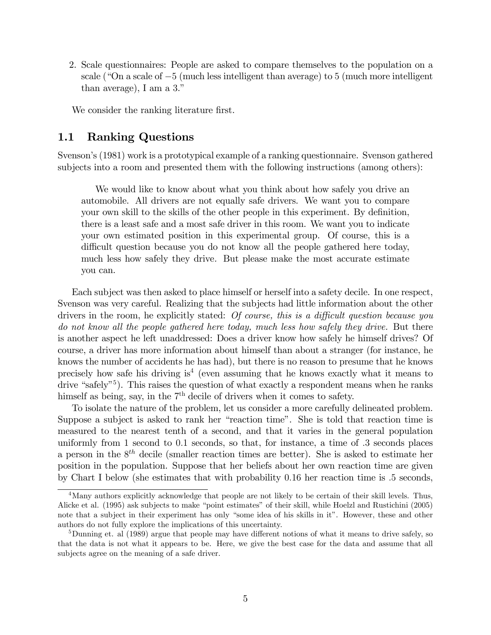2. Scale questionnaires: People are asked to compare themselves to the population on a scale ( $\degree$ On a scale of  $-5$  (much less intelligent than average) to 5 (much more intelligent than average), I am a  $3$ ."

We consider the ranking literature first.

### 1.1 Ranking Questions

Svenson's (1981) work is a prototypical example of a ranking questionnaire. Svenson gathered subjects into a room and presented them with the following instructions (among others):

We would like to know about what you think about how safely you drive an automobile. All drivers are not equally safe drivers. We want you to compare your own skill to the skills of the other people in this experiment. By definition, there is a least safe and a most safe driver in this room. We want you to indicate your own estimated position in this experimental group. Of course, this is a difficult question because you do not know all the people gathered here today, much less how safely they drive. But please make the most accurate estimate you can.

Each subject was then asked to place himself or herself into a safety decile. In one respect, Svenson was very careful. Realizing that the subjects had little information about the other drivers in the room, he explicitly stated: Of course, this is a difficult question because you do not know all the people gathered here today, much less how safely they drive. But there is another aspect he left unaddressed: Does a driver know how safely he himself drives? Of course, a driver has more information about himself than about a stranger (for instance, he knows the number of accidents he has had), but there is no reason to presume that he knows precisely how safe his driving is<sup>4</sup> (even assuming that he knows exactly what it means to drive "safely"<sup>5</sup>). This raises the question of what exactly a respondent means when he ranks himself as being, say, in the  $7<sup>th</sup>$  decile of drivers when it comes to safety.

To isolate the nature of the problem, let us consider a more carefully delineated problem. Suppose a subject is asked to rank her "reaction time". She is told that reaction time is measured to the nearest tenth of a second, and that it varies in the general population uniformly from 1 second to  $0.1$  seconds, so that, for instance, a time of  $.3$  seconds places a person in the  $8<sup>th</sup>$  decile (smaller reaction times are better). She is asked to estimate her position in the population. Suppose that her beliefs about her own reaction time are given by Chart I below (she estimates that with probability 0:16 her reaction time is :5 seconds,

<sup>&</sup>lt;sup>4</sup>Many authors explicitly acknowledge that people are not likely to be certain of their skill levels. Thus, Alicke et al. (1995) ask subjects to make "point estimates" of their skill, while Hoelzl and Rustichini (2005) note that a subject in their experiment has only "some idea of his skills in it". However, these and other authors do not fully explore the implications of this uncertainty.

 $5$ Dunning et. al (1989) argue that people may have different notions of what it means to drive safely, so that the data is not what it appears to be. Here, we give the best case for the data and assume that all subjects agree on the meaning of a safe driver.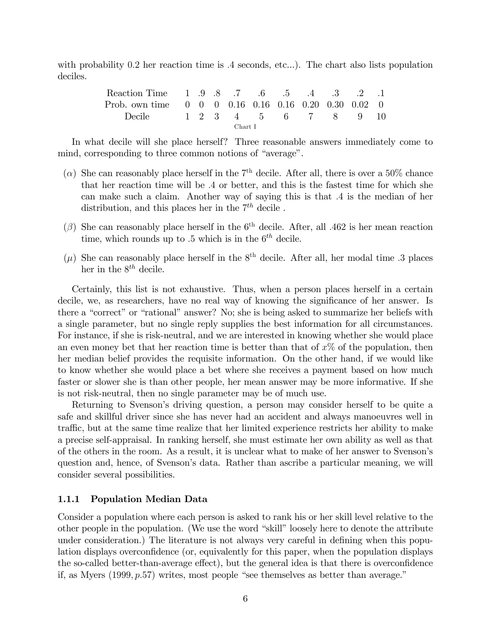with probability  $0.2$  her reaction time is  $.4$  seconds, etc...). The chart also lists population deciles.

| Reaction Time 1 .9 .8 .7 .6 .5 .4 .3 .2 .1                                                                 |  |  |  |  |  |  |  |  |  |  |  |
|------------------------------------------------------------------------------------------------------------|--|--|--|--|--|--|--|--|--|--|--|
| Prob. own time $\begin{array}{cccccc} 0 & 0 & 0 & 0.16 & 0.16 & 0.16 & 0.20 & 0.30 & 0.02 & 0 \end{array}$ |  |  |  |  |  |  |  |  |  |  |  |
| Decile 1 2 3 4 5 6 7 8 9 10                                                                                |  |  |  |  |  |  |  |  |  |  |  |
| Chart I                                                                                                    |  |  |  |  |  |  |  |  |  |  |  |

In what decile will she place herself? Three reasonable answers immediately come to mind, corresponding to three common notions of "average".

- ( $\alpha$ ) She can reasonably place herself in the 7<sup>th</sup> decile. After all, there is over a 50% chance that her reaction time will be :4 or better, and this is the fastest time for which she can make such a claim. Another way of saying this is that :4 is the median of her distribution, and this places her in the  $7<sup>th</sup>$  decile.
- $(\beta)$  She can reasonably place herself in the 6<sup>th</sup> decile. After, all .462 is her mean reaction time, which rounds up to  $.5$  which is in the  $6<sup>th</sup>$  decile.
- $(\mu)$  She can reasonably place herself in the  $8<sup>th</sup>$  decile. After all, her modal time .3 places her in the  $8^{th}$  decile.

Certainly, this list is not exhaustive. Thus, when a person places herself in a certain decile, we, as researchers, have no real way of knowing the significance of her answer. Is there a "correct" or "rational" answer? No; she is being asked to summarize her beliefs with a single parameter, but no single reply supplies the best information for all circumstances. For instance, if she is risk-neutral, and we are interested in knowing whether she would place an even money bet that her reaction time is better than that of  $x\%$  of the population, then her median belief provides the requisite information. On the other hand, if we would like to know whether she would place a bet where she receives a payment based on how much faster or slower she is than other people, her mean answer may be more informative. If she is not risk-neutral, then no single parameter may be of much use.

Returning to Svensonís driving question, a person may consider herself to be quite a safe and skillful driver since she has never had an accident and always manoeuvres well in traffic, but at the same time realize that her limited experience restricts her ability to make a precise self-appraisal. In ranking herself, she must estimate her own ability as well as that of the others in the room. As a result, it is unclear what to make of her answer to Svensonís question and, hence, of Svenson's data. Rather than ascribe a particular meaning, we will consider several possibilities.

#### 1.1.1 Population Median Data

Consider a population where each person is asked to rank his or her skill level relative to the other people in the population. (We use the word "skill" loosely here to denote the attribute under consideration.) The literature is not always very careful in defining when this population displays overconfidence (or, equivalently for this paper, when the population displays the so-called better-than-average effect), but the general idea is that there is overconfidence if, as Myers  $(1999, p.57)$  writes, most people "see themselves as better than average."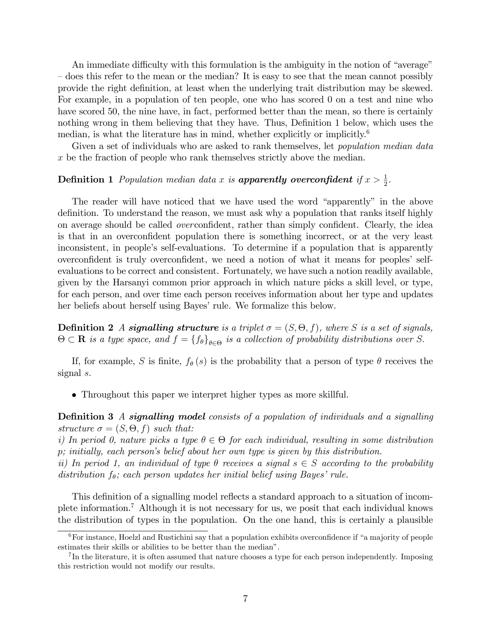An immediate difficulty with this formulation is the ambiguity in the notion of "average" – does this refer to the mean or the median? It is easy to see that the mean cannot possibly provide the right definition, at least when the underlying trait distribution may be skewed. For example, in a population of ten people, one who has scored 0 on a test and nine who have scored 50, the nine have, in fact, performed better than the mean, so there is certainly nothing wrong in them believing that they have. Thus, Definition 1 below, which uses the median, is what the literature has in mind, whether explicitly or implicitly.<sup>6</sup>

Given a set of individuals who are asked to rank themselves, let *population median data* x be the fraction of people who rank themselves strictly above the median.

# **Definition 1** Population median data x is **apparently overconfident** if  $x > \frac{1}{2}$ .

The reader will have noticed that we have used the word "apparently" in the above definition. To understand the reason, we must ask why a population that ranks itself highly on average should be called *overconfident*, rather than simply confident. Clearly, the idea is that in an overconfident population there is something incorrect, or at the very least inconsistent, in people's self-evaluations. To determine if a population that is apparently overconfident is truly overconfident, we need a notion of what it means for peoples' selfevaluations to be correct and consistent. Fortunately, we have such a notion readily available, given by the Harsanyi common prior approach in which nature picks a skill level, or type, for each person, and over time each person receives information about her type and updates her beliefs about herself using Bayes' rule. We formalize this below.

**Definition 2** A signalling structure is a triplet  $\sigma = (S, \Theta, f)$ , where S is a set of signals,  $\Theta \subset \mathbf{R}$  is a type space, and  $f = \{f_{\theta}\}_{{\theta \in \Theta}}$  is a collection of probability distributions over S.

If, for example, S is finite,  $f_{\theta}(s)$  is the probability that a person of type  $\theta$  receives the signal s.

Throughout this paper we interpret higher types as more skillful.

**Definition 3** A signalling model consists of a population of individuals and a signalling structure  $\sigma = (S, \Theta, f)$  such that:

i) In period 0, nature picks a type  $\theta \in \Theta$  for each individual, resulting in some distribution p; initially, each personís belief about her own type is given by this distribution.

ii) In period 1, an individual of type  $\theta$  receives a signal  $s \in S$  according to the probability distribution  $f_{\theta}$ ; each person updates her initial belief using Bayes' rule.

This definition of a signalling model reflects a standard approach to a situation of incomplete information.<sup>7</sup> Although it is not necessary for us, we posit that each individual knows the distribution of types in the population. On the one hand, this is certainly a plausible

 $6$  For instance, Hoelzl and Rustichini say that a population exhibits overconfidence if "a majority of people estimates their skills or abilities to be better than the median".

<sup>&</sup>lt;sup>7</sup>In the literature, it is often assumed that nature chooses a type for each person independently. Imposing this restriction would not modify our results.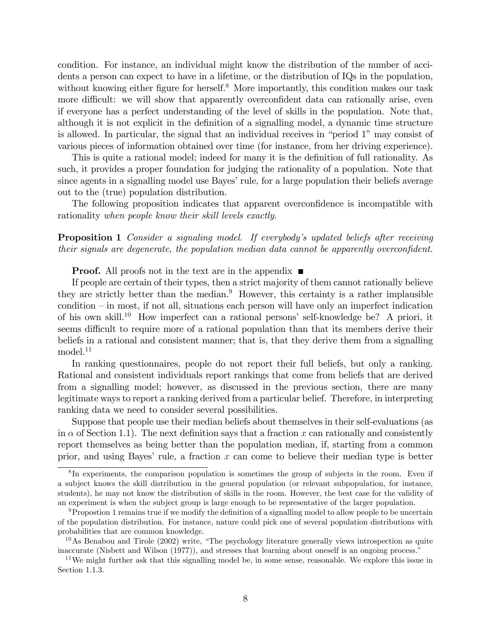condition. For instance, an individual might know the distribution of the number of accidents a person can expect to have in a lifetime, or the distribution of IQs in the population, without knowing either figure for herself.<sup>8</sup> More importantly, this condition makes our task more difficult: we will show that apparently overconfident data can rationally arise, even if everyone has a perfect understanding of the level of skills in the population. Note that, although it is not explicit in the definition of a signalling model, a dynamic time structure is allowed. In particular, the signal that an individual receives in "period  $1$ " may consist of various pieces of information obtained over time (for instance, from her driving experience).

This is quite a rational model; indeed for many it is the definition of full rationality. As such, it provides a proper foundation for judging the rationality of a population. Note that since agents in a signalling model use Bayes' rule, for a large population their beliefs average out to the (true) population distribution.

The following proposition indicates that apparent overconfidence is incompatible with rationality when people know their skill levels exactly.

**Proposition 1** Consider a signaling model. If everybody's updated beliefs after receiving their signals are degenerate, the population median data cannot be apparently overconfident.

**Proof.** All proofs not in the text are in the appendix  $\blacksquare$ 

If people are certain of their types, then a strict majority of them cannot rationally believe they are strictly better than the median.<sup>9</sup> However, this certainty is a rather implausible condition  $-\text{ in most, if not all, situations each person will have only an imperfect indication}$ of his own skill.<sup>10</sup> How imperfect can a rational persons' self-knowledge be? A priori, it seems difficult to require more of a rational population than that its members derive their beliefs in a rational and consistent manner; that is, that they derive them from a signalling model.<sup>11</sup>

In ranking questionnaires, people do not report their full beliefs, but only a ranking. Rational and consistent individuals report rankings that come from beliefs that are derived from a signalling model; however, as discussed in the previous section, there are many legitimate ways to report a ranking derived from a particular belief. Therefore, in interpreting ranking data we need to consider several possibilities.

Suppose that people use their median beliefs about themselves in their self-evaluations (as in  $\alpha$  of Section 1.1). The next definition says that a fraction x can rationally and consistently report themselves as being better than the population median, if, starting from a common prior, and using Bayes' rule, a fraction  $x$  can come to believe their median type is better

<sup>&</sup>lt;sup>8</sup>In experiments, the comparison population is sometimes the group of subjects in the room. Even if a subject knows the skill distribution in the general population (or relevant subpopulation, for instance, students), he may not know the distribution of skills in the room. However, the best case for the validity of an experiment is when the subject group is large enough to be representative of the larger population.

 $9$ Propostion 1 remains true if we modify the definition of a signalling model to allow people to be uncertain of the population distribution. For instance, nature could pick one of several population distributions with probabilities that are common knowledge.

 $10\,\text{As}$  Benabou and Tirole (2002) write, "The psychology literature generally views introspection as quite inaccurate (Nisbett and Wilson (1977)), and stresses that learning about oneself is an ongoing process."

<sup>&</sup>lt;sup>11</sup>We might further ask that this signalling model be, in some sense, reasonable. We explore this issue in Section 1.1.3.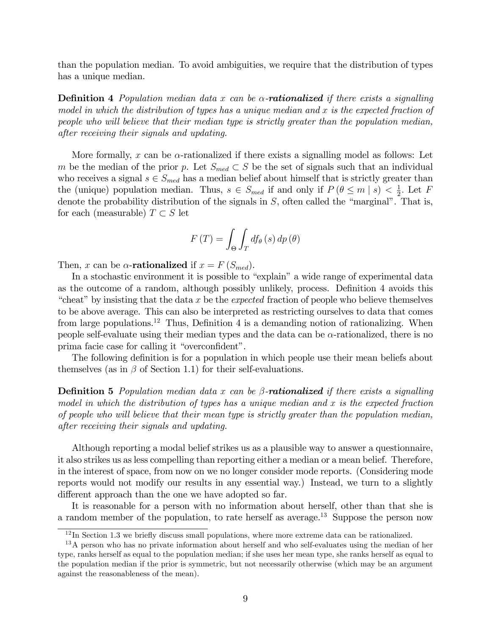than the population median. To avoid ambiguities, we require that the distribution of types has a unique median.

**Definition 4** Population median data x can be  $\alpha$ -**rationalized** if there exists a signalling model in which the distribution of types has a unique median and x is the expected fraction of people who will believe that their median type is strictly greater than the population median, after receiving their signals and updating.

More formally, x can be  $\alpha$ -rationalized if there exists a signalling model as follows: Let m be the median of the prior p. Let  $S_{med} \subset S$  be the set of signals such that an individual who receives a signal  $s \in S_{med}$  has a median belief about himself that is strictly greater than the (unique) population median. Thus,  $s \in S_{med}$  if and only if  $P(\theta \le m \mid s) < \frac{1}{2}$  $\frac{1}{2}$ . Let F denote the probability distribution of the signals in  $S$ , often called the "marginal". That is, for each (measurable)  $T \subset S$  let

$$
F(T) = \int_{\Theta} \int_{T} df_{\theta}(s) dp(\theta)
$$

Then, x can be  $\alpha$ -rationalized if  $x = F(S_{med})$ .

In a stochastic environment it is possible to "explain" a wide range of experimental data as the outcome of a random, although possibly unlikely, process. Definition 4 avoids this "cheat" by insisting that the data  $x$  be the *expected* fraction of people who believe themselves to be above average. This can also be interpreted as restricting ourselves to data that comes from large populations.<sup>12</sup> Thus, Definition 4 is a demanding notion of rationalizing. When people self-evaluate using their median types and the data can be  $\alpha$ -rationalized, there is no prima facie case for calling it "overconfident".

The following definition is for a population in which people use their mean beliefs about themselves (as in  $\beta$  of Section 1.1) for their self-evaluations.

**Definition 5** Population median data x can be  $\beta$ -**rationalized** if there exists a signalling model in which the distribution of types has a unique median and  $x$  is the expected fraction of people who will believe that their mean type is strictly greater than the population median, after receiving their signals and updating.

Although reporting a modal belief strikes us as a plausible way to answer a questionnaire, it also strikes us as less compelling than reporting either a median or a mean belief. Therefore, in the interest of space, from now on we no longer consider mode reports. (Considering mode reports would not modify our results in any essential way.) Instead, we turn to a slightly different approach than the one we have adopted so far.

It is reasonable for a person with no information about herself, other than that she is a random member of the population, to rate herself as average.<sup>13</sup> Suppose the person now

 $12$  In Section 1.3 we briefly discuss small populations, where more extreme data can be rationalized.

<sup>&</sup>lt;sup>13</sup>A person who has no private information about herself and who self-evaluates using the median of her type, ranks herself as equal to the population median; if she uses her mean type, she ranks herself as equal to the population median if the prior is symmetric, but not necessarily otherwise (which may be an argument against the reasonableness of the mean).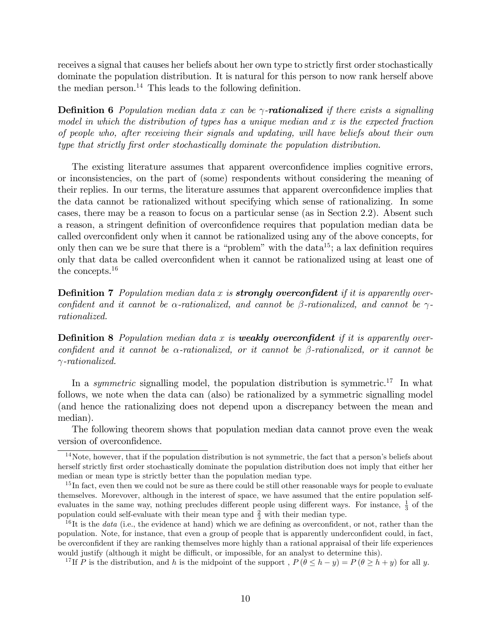receives a signal that causes her beliefs about her own type to strictly first order stochastically dominate the population distribution. It is natural for this person to now rank herself above the median person.<sup>14</sup> This leads to the following definition.

**Definition 6** Population median data x can be  $\gamma$ -**rationalized** if there exists a signalling model in which the distribution of types has a unique median and  $x$  is the expected fraction of people who, after receiving their signals and updating, will have beliefs about their own type that strictly first order stochastically dominate the population distribution.

The existing literature assumes that apparent overconfidence implies cognitive errors, or inconsistencies, on the part of (some) respondents without considering the meaning of their replies. In our terms, the literature assumes that apparent overconfidence implies that the data cannot be rationalized without specifying which sense of rationalizing. In some cases, there may be a reason to focus on a particular sense (as in Section 2.2). Absent such a reason, a stringent definition of overconfidence requires that population median data be called overconfident only when it cannot be rationalized using any of the above concepts, for only then can we be sure that there is a "problem" with the data<sup>15</sup>; a lax definition requires only that data be called overconfident when it cannot be rationalized using at least one of the concepts.<sup>16</sup>

**Definition 7** Population median data x is **strongly overconfident** if it is apparently overconfident and it cannot be  $\alpha$ -rationalized, and cannot be  $\beta$ -rationalized, and cannot be  $\gamma$ rationalized.

**Definition 8** Population median data x is **weakly overconfident** if it is apparently overconfident and it cannot be  $\alpha$ -rationalized, or it cannot be  $\beta$ -rationalized, or it cannot be  $\gamma$ -rationalized.

In a *symmetric* signalling model, the population distribution is symmetric.<sup>17</sup> In what follows, we note when the data can (also) be rationalized by a symmetric signalling model (and hence the rationalizing does not depend upon a discrepancy between the mean and median).

The following theorem shows that population median data cannot prove even the weak version of overconfidence.

<sup>17</sup>If P is the distribution, and h is the midpoint of the support,  $P(\theta \le h - y) = P(\theta \ge h + y)$  for all y.

 $14$ Note, however, that if the population distribution is not symmetric, the fact that a person's beliefs about herself strictly first order stochastically dominate the population distribution does not imply that either her median or mean type is strictly better than the population median type.

 $15$  In fact, even then we could not be sure as there could be still other reasonable ways for people to evaluate themselves. Morevover, although in the interest of space, we have assumed that the entire population selfevaluates in the same way, nothing precludes different people using different ways. For instance,  $\frac{1}{3}$  of the population could self-evaluate with their mean type and  $\frac{2}{3}$  with their median type.

 $16$ It is the *data* (i.e., the evidence at hand) which we are defining as overconfident, or not, rather than the population. Note, for instance, that even a group of people that is apparently underconfident could, in fact, be overconfident if they are ranking themselves more highly than a rational appraisal of their life experiences would justify (although it might be difficult, or impossible, for an analyst to determine this).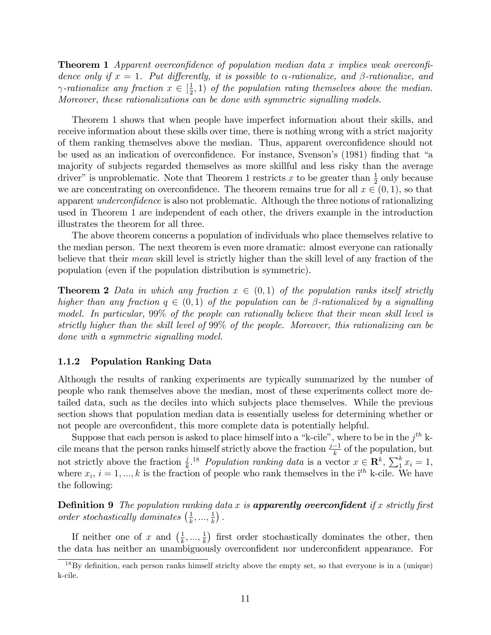**Theorem 1** Apparent overconfidence of population median data x implies weak overconfidence only if  $x = 1$ . Put differently, it is possible to  $\alpha$ -rationalize, and  $\beta$ -rationalize, and  $\gamma$ -rationalize any fraction  $x \in [\frac{1}{2}]$  $(\frac{1}{2}, 1)$  of the population rating themselves above the median. Moreover, these rationalizations can be done with symmetric signalling models.

Theorem 1 shows that when people have imperfect information about their skills, and receive information about these skills over time, there is nothing wrong with a strict majority of them ranking themselves above the median. Thus, apparent overconfidence should not be used as an indication of overconfidence. For instance, Svenson's (1981) finding that "a majority of subjects regarded themselves as more skillful and less risky than the average driver" is unproblematic. Note that Theorem 1 restricts x to be greater than  $\frac{1}{2}$  only because we are concentrating on overconfidence. The theorem remains true for all  $x \in (0, 1)$ , so that apparent *underconfidence* is also not problematic. Although the three notions of rationalizing used in Theorem 1 are independent of each other, the drivers example in the introduction illustrates the theorem for all three.

The above theorem concerns a population of individuals who place themselves relative to the median person. The next theorem is even more dramatic: almost everyone can rationally believe that their mean skill level is strictly higher than the skill level of any fraction of the population (even if the population distribution is symmetric).

**Theorem 2** Data in which any fraction  $x \in (0,1)$  of the population ranks itself strictly higher than any fraction  $q \in (0,1)$  of the population can be  $\beta$ -rationalized by a signalling model. In particular, 99% of the people can rationally believe that their mean skill level is strictly higher than the skill level of 99% of the people. Moreover, this rationalizing can be done with a symmetric signalling model.

#### 1.1.2 Population Ranking Data

Although the results of ranking experiments are typically summarized by the number of people who rank themselves above the median, most of these experiments collect more detailed data, such as the deciles into which subjects place themselves. While the previous section shows that population median data is essentially useless for determining whether or not people are overconfident, this more complete data is potentially helpful.

Suppose that each person is asked to place himself into a "k-cile", where to be in the  $j<sup>th</sup>$  kcile means that the person ranks himself strictly above the fraction  $\frac{j-1}{k}$  of the population, but not strictly above the fraction  $\frac{j}{k}$ .<sup>18</sup> Population ranking data is a vector  $x \in \mathbb{R}^k$ ,  $\sum_{i=1}^k x_i = 1$ , where  $x_i$ ,  $i = 1, ..., k$  is the fraction of people who rank themselves in the i<sup>th</sup> k-cile. We have the following:

**Definition 9** The population ranking data x is **apparently overconfident** if x strictly first order stochastically dominates  $\left(\frac{1}{k}\right)$  $\frac{1}{k},...,\frac{1}{k}$  $\frac{1}{k}$ ).

If neither one of x and  $\left(\frac{1}{k}\right)$  $\frac{1}{k},...,\frac{1}{k}$  $\frac{1}{k}$ ) first order stochastically dominates the other, then the data has neither an unambiguously overconfident nor underconfident appearance. For

 $18\,\text{By}$  definition, each person ranks himself striclty above the empty set, so that everyone is in a (unique) k-cile.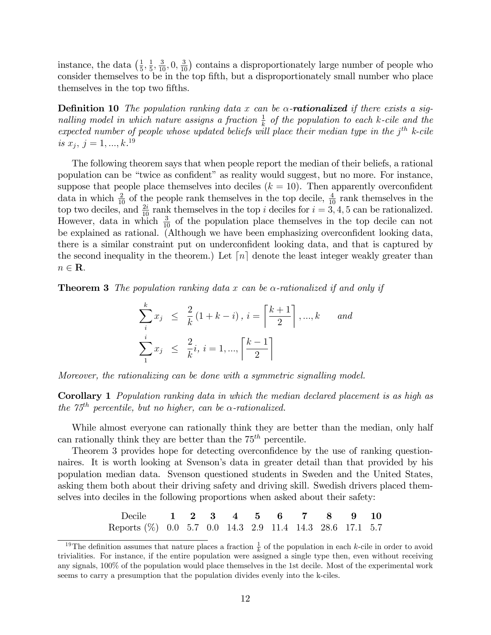instance, the data  $\left(\frac{1}{5}\right)$  $\frac{1}{5}, \frac{1}{5}$  $\frac{1}{5}$ ,  $\frac{3}{10}$ , 0,  $\frac{3}{10}$ ) contains a disproportionately large number of people who consider themselves to be in the top fifth, but a disproportionately small number who place themselves in the top two fifths.

**Definition 10** The population ranking data x can be  $\alpha$ -**rationalized** if there exists a signalling model in which nature assigns a fraction  $\frac{1}{k}$  of the population to each k-cile and the expected number of people whose updated beliefs will place their median type in the  $j<sup>th</sup>$  k-cile is  $x_j, j = 1, ..., k$ .<sup>19</sup>

The following theorem says that when people report the median of their beliefs, a rational population can be "twice as confident" as reality would suggest, but no more. For instance, suppose that people place themselves into deciles  $(k = 10)$ . Then apparently overconfident data in which  $\frac{2}{10}$  of the people rank themselves in the top decile,  $\frac{4}{10}$  rank themselves in the top two deciles, and  $\frac{2i}{10}$  rank themselves in the top i deciles for  $i = 3, 4, 5$  can be rationalized. However, data in which  $\frac{3}{10}$  of the population place themselves in the top decile can not be explained as rational. (Although we have been emphasizing overconfident looking data, there is a similar constraint put on underconfident looking data, and that is captured by the second inequality in the theorem.) Let  $\lceil n \rceil$  denote the least integer weakly greater than  $n \in \mathbf{R}$ .

**Theorem 3** The population ranking data x can be  $\alpha$ -rationalized if and only if

$$
\sum_{i}^{k} x_{j} \leq \frac{2}{k} (1 + k - i), i = \left\lceil \frac{k+1}{2} \right\rceil, ..., k \quad and
$$
  

$$
\sum_{1}^{i} x_{j} \leq \frac{2}{k} i, i = 1, ..., \left\lceil \frac{k-1}{2} \right\rceil
$$

Moreover, the rationalizing can be done with a symmetric signalling model.

Corollary 1 Population ranking data in which the median declared placement is as high as the  $75<sup>th</sup>$  percentile, but no higher, can be  $\alpha$ -rationalized.

While almost everyone can rationally think they are better than the median, only half can rationally think they are better than the  $75<sup>th</sup>$  percentile.

Theorem 3 provides hope for detecting overconfidence by the use of ranking questionnaires. It is worth looking at Svenson's data in greater detail than that provided by his population median data. Svenson questioned students in Sweden and the United States, asking them both about their driving safety and driving skill. Swedish drivers placed themselves into deciles in the following proportions when asked about their safety:

| Decile 1 2 3 4 5 6 7 8 9 10                              |  |  |  |  |  |
|----------------------------------------------------------|--|--|--|--|--|
| Reports (%) 0.0 5.7 0.0 14.3 2.9 11.4 14.3 28.6 17.1 5.7 |  |  |  |  |  |

<sup>&</sup>lt;sup>19</sup>The definition assumes that nature places a fraction  $\frac{1}{k}$  of the population in each k-cile in order to avoid trivialities. For instance, if the entire population were assigned a single type then, even without receiving any signals, 100% of the population would place themselves in the 1st decile. Most of the experimental work seems to carry a presumption that the population divides evenly into the k-ciles.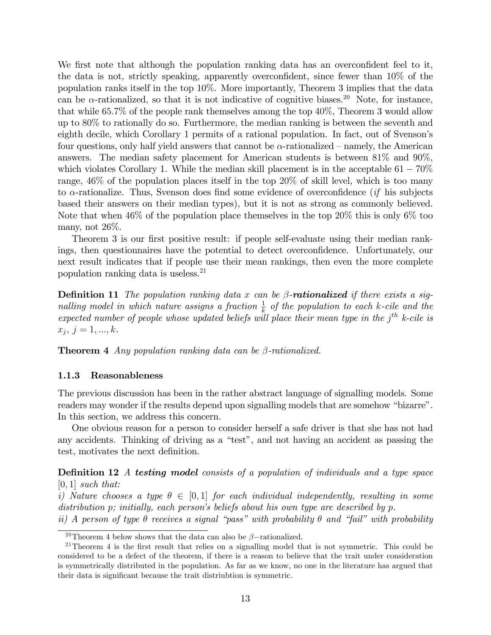We first note that although the population ranking data has an overconfident feel to it, the data is not, strictly speaking, apparently overconfident, since fewer than  $10\%$  of the population ranks itself in the top 10%. More importantly, Theorem 3 implies that the data can be  $\alpha$ -rationalized, so that it is not indicative of cognitive biases.<sup>20</sup> Note, for instance, that while 65:7% of the people rank themselves among the top 40%, Theorem 3 would allow up to 80% to rationally do so. Furthermore, the median ranking is between the seventh and eighth decile, which Corollary 1 permits of a rational population. In fact, out of Svenson's four questions, only half yield answers that cannot be  $\alpha$ -rationalized – namely, the American answers. The median safety placement for American students is between 81% and 90%, which violates Corollary 1. While the median skill placement is in the acceptable  $61 - 70\%$ range, 46% of the population places itself in the top 20% of skill level, which is too many to  $\alpha$ -rationalize. Thus, Svenson does find some evidence of overconfidence *(if his subjects*) based their answers on their median types), but it is not as strong as commonly believed. Note that when 46% of the population place themselves in the top 20% this is only 6% too many, not 26%.

Theorem 3 is our first positive result: if people self-evaluate using their median rankings, then questionnaires have the potential to detect overconfidence. Unfortunately, our next result indicates that if people use their mean rankings, then even the more complete population ranking data is useless.<sup>21</sup>

**Definition 11** The population ranking data x can be  $\beta$ -**rationalized** if there exists a signalling model in which nature assigns a fraction  $\frac{1}{k}$  of the population to each k-cile and the expected number of people whose updated beliefs will place their mean type in the  $j<sup>th</sup>$  k-cile is  $x_j, j = 1, ..., k.$ 

**Theorem 4** Any population ranking data can be  $\beta$ -rationalized.

#### 1.1.3 Reasonableness

The previous discussion has been in the rather abstract language of signalling models. Some readers may wonder if the results depend upon signalling models that are somehow "bizarre". In this section, we address this concern.

One obvious reason for a person to consider herself a safe driver is that she has not had any accidents. Thinking of driving as a "test", and not having an accident as passing the test, motivates the next definition.

**Definition 12** A testing model consists of a population of individuals and a type space  $[0, 1]$  such that:

i) Nature chooses a type  $\theta \in [0,1]$  for each individual independently, resulting in some distribution p; initially, each person's beliefs about his own type are described by p.

ii) A person of type  $\theta$  receives a signal "pass" with probability  $\theta$  and "fail" with probability

<sup>&</sup>lt;sup>20</sup>Theorem 4 below shows that the data can also be  $\beta$ -rationalized.

 $21$ Theorem 4 is the first result that relies on a signalling model that is not symmetric. This could be considered to be a defect of the theorem, if there is a reason to believe that the trait under consideration is symmetrically distributed in the population. As far as we know, no one in the literature has argued that their data is significant because the trait distriubtion is symmetric.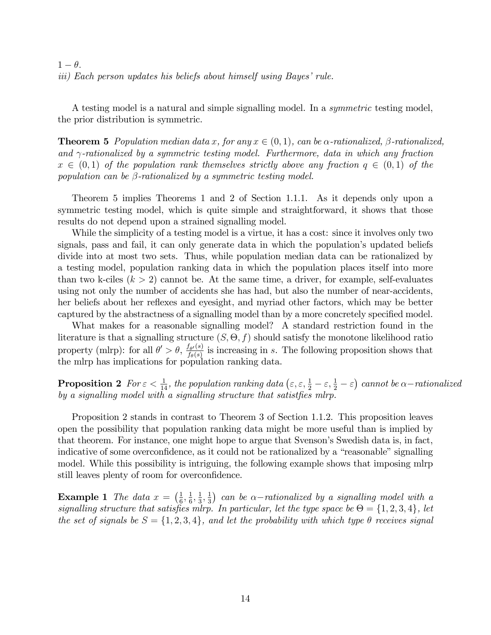$1 - \theta$ . iii) Each person updates his beliefs about himself using Bayes' rule.

A testing model is a natural and simple signalling model. In a symmetric testing model, the prior distribution is symmetric.

**Theorem 5** Population median data x, for any  $x \in (0,1)$ , can be  $\alpha$ -rationalized,  $\beta$ -rationalized, and  $\gamma$ -rationalized by a symmetric testing model. Furthermore, data in which any fraction  $x \in (0,1)$  of the population rank themselves strictly above any fraction  $q \in (0,1)$  of the population can be  $\beta$ -rationalized by a symmetric testing model.

Theorem 5 implies Theorems 1 and 2 of Section 1.1.1. As it depends only upon a symmetric testing model, which is quite simple and straightforward, it shows that those results do not depend upon a strained signalling model.

While the simplicity of a testing model is a virtue, it has a cost: since it involves only two signals, pass and fail, it can only generate data in which the population's updated beliefs divide into at most two sets. Thus, while population median data can be rationalized by a testing model, population ranking data in which the population places itself into more than two k-ciles  $(k > 2)$  cannot be. At the same time, a driver, for example, self-evaluates using not only the number of accidents she has had, but also the number of near-accidents, her beliefs about her reflexes and eyesight, and myriad other factors, which may be better captured by the abstractness of a signalling model than by a more concretely specified model.

What makes for a reasonable signalling model? A standard restriction found in the literature is that a signalling structure  $(S, \Theta, f)$  should satisfy the monotone likelihood ratio property (mlrp): for all  $\theta' > \theta$ ,  $\frac{f_{\theta'}(s)}{f_o(s)}$  $\frac{f_{\theta'}(s)}{f_{\theta}(s)}$  is increasing in s. The following proposition shows that the mlrp has implications for population ranking data.

**Proposition 2** For  $\varepsilon < \frac{1}{14}$ , the population ranking data  $(\varepsilon, \varepsilon, \frac{1}{2} - \varepsilon, \frac{1}{2} - \varepsilon)$  cannot be  $\alpha$ -rationalized by a signalling model with a signalling structure that satistfies mlrp.

Proposition 2 stands in contrast to Theorem 3 of Section 1.1.2. This proposition leaves open the possibility that population ranking data might be more useful than is implied by that theorem. For instance, one might hope to argue that Svenson's Swedish data is, in fact, indicative of some overconfidence, as it could not be rationalized by a "reasonable" signalling model. While this possibility is intriguing, the following example shows that imposing mlrp still leaves plenty of room for overconfidence.

**Example 1** The data  $x = \left(\frac{1}{6}\right)$  $\frac{1}{6}, \frac{1}{6}$  $\frac{1}{6}, \frac{1}{3}$  $\frac{1}{3}, \frac{1}{3}$  $\frac{1}{3}$  can be  $\alpha$ -rationalized by a signalling model with a signalling structure that satisfies mlrp. In particular, let the type space be  $\Theta = \{1, 2, 3, 4\}$ , let the set of signals be  $S = \{1, 2, 3, 4\}$ , and let the probability with which type  $\theta$  receives signal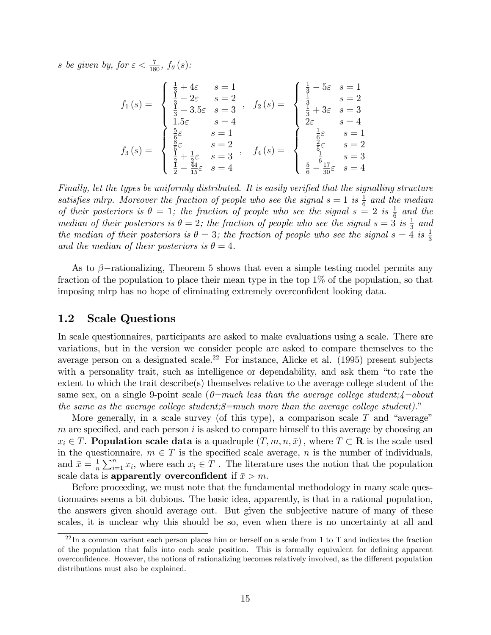s be given by, for  $\varepsilon < \frac{7}{180}$ ,  $f_{\theta}(s)$ :

$$
f_1(s) = \begin{cases} \frac{1}{3} + 4\varepsilon & s = 1\\ \frac{1}{3} - 2\varepsilon & s = 2\\ \frac{1}{3} - 3.5\varepsilon & s = 3\\ 1.5\varepsilon & s = 4 \end{cases}, \quad f_2(s) = \begin{cases} \frac{1}{3} - 5\varepsilon & s = 1\\ \frac{1}{3} & s = 2\\ \frac{1}{3} + 3\varepsilon & s = 3\\ 2\varepsilon & s = 4 \end{cases}
$$

$$
f_3(s) = \begin{cases} \frac{5}{3\varepsilon} & s = 1\\ \frac{5}{3\varepsilon} & s = 2\\ \frac{1}{3\varepsilon} + \frac{1}{3\varepsilon}\varepsilon & s = 3\\ \frac{1}{2\varepsilon} + \frac{1}{3\varepsilon}\varepsilon & s = 3\\ \frac{1}{2\varepsilon} + \frac{1}{3\varepsilon}\varepsilon & s = 4 \end{cases}, \quad f_4(s) = \begin{cases} \frac{1}{3\varepsilon} - 5\varepsilon & s = 1\\ \frac{1}{3\varepsilon} + 3\varepsilon & s = 3\\ \frac{5}{6\varepsilon} & s = 2\\ \frac{1}{6\varepsilon} - \frac{17}{30\varepsilon} & s = 4 \end{cases}
$$

Finally, let the types be uniformly distributed. It is easily verified that the signalling structure satisfies mlrp. Moreover the fraction of people who see the signal  $s = 1$  is  $\frac{1}{6}$  and the median of their posteriors is  $\theta = 1$ ; the fraction of people who see the signal  $s = 2$  is  $\frac{1}{6}$  and the median of their posteriors is  $\theta = 2$ ; the fraction of people who see the signal  $s = 3$  is  $\frac{1}{3}$  and the median of their posteriors is  $\theta = 3$ ; the fraction of people who see the signal  $s = \frac{3}{4}$  is  $\frac{1}{3}$ and the median of their posteriors is  $\theta = 4$ .

As to  $\beta$ -rationalizing, Theorem 5 shows that even a simple testing model permits any fraction of the population to place their mean type in the top 1% of the population, so that imposing mlrp has no hope of eliminating extremely overconfident looking data.

### 1.2 Scale Questions

In scale questionnaires, participants are asked to make evaluations using a scale. There are variations, but in the version we consider people are asked to compare themselves to the average person on a designated scale.<sup>22</sup> For instance, Alicke et al.  $(1995)$  present subjects with a personality trait, such as intelligence or dependability, and ask them "to rate the extent to which the trait describe(s) themselves relative to the average college student of the same sex, on a single 9-point scale  $(0=much$  less than the average college student;  $4=about$ the same as the average college student; $8$ =much more than the average college student)."

More generally, in a scale survey (of this type), a comparison scale  $T$  and "average" m are specified, and each person  $i$  is asked to compare himself to this average by choosing an  $x_i \in T$ . **Population scale data** is a quadruple  $(T, m, n, \bar{x})$ , where  $T \subset \mathbf{R}$  is the scale used in the questionnaire,  $m \in T$  is the specified scale average, n is the number of individuals, and  $\bar{x} = \frac{1}{n}$  $\frac{1}{n}\sum_{i=1}^{n}x_i$ , where each  $x_i \in T$ . The literature uses the notion that the population scale data is apparently overconfident if  $\bar{x} > m$ .

Before proceeding, we must note that the fundamental methodology in many scale questionnaires seems a bit dubious. The basic idea, apparently, is that in a rational population, the answers given should average out. But given the subjective nature of many of these scales, it is unclear why this should be so, even when there is no uncertainty at all and

 $^{22}$ In a common variant each person places him or herself on a scale from 1 to T and indicates the fraction of the population that falls into each scale position. This is formally equivalent for defining apparent overconfidence. However, the notions of rationalizing becomes relatively involved, as the different population distributions must also be explained.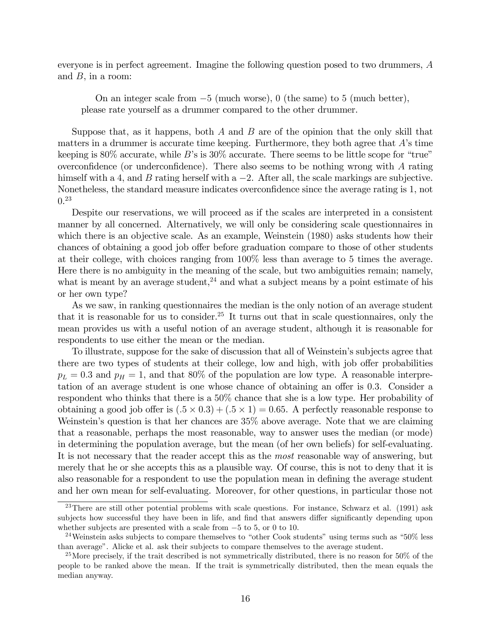everyone is in perfect agreement. Imagine the following question posed to two drummers, A and  $B$ , in a room:

On an integer scale from  $-5$  (much worse), 0 (the same) to 5 (much better), please rate yourself as a drummer compared to the other drummer.

Suppose that, as it happens, both  $A$  and  $B$  are of the opinion that the only skill that matters in a drummer is accurate time keeping. Furthermore, they both agree that  $A$ 's time keeping is 80% accurate, while B's is 30% accurate. There seems to be little scope for "true" overconfidence (or underconfidence). There also seems to be nothing wrong with  $A$  rating himself with a 4, and B rating herself with a  $-2$ . After all, the scale markings are subjective. Nonetheless, the standard measure indicates overconfidence since the average rating is 1, not 0. 23

Despite our reservations, we will proceed as if the scales are interpreted in a consistent manner by all concerned. Alternatively, we will only be considering scale questionnaires in which there is an objective scale. As an example, Weinstein (1980) asks students how their chances of obtaining a good job offer before graduation compare to those of other students at their college, with choices ranging from 100% less than average to 5 times the average. Here there is no ambiguity in the meaning of the scale, but two ambiguities remain; namely, what is meant by an average student,<sup>24</sup> and what a subject means by a point estimate of his or her own type?

As we saw, in ranking questionnaires the median is the only notion of an average student that it is reasonable for us to consider.<sup>25</sup> It turns out that in scale questionnaires, only the mean provides us with a useful notion of an average student, although it is reasonable for respondents to use either the mean or the median.

To illustrate, suppose for the sake of discussion that all of Weinstein's subjects agree that there are two types of students at their college, low and high, with job offer probabilities  $p_L = 0.3$  and  $p_H = 1$ , and that 80% of the population are low type. A reasonable interpretation of an average student is one whose chance of obtaining an offer is 0.3. Consider a respondent who thinks that there is a 50% chance that she is a low type. Her probability of obtaining a good job offer is  $(.5 \times 0.3) + (.5 \times 1) = 0.65$ . A perfectly reasonable response to Weinstein's question is that her chances are  $35\%$  above average. Note that we are claiming that a reasonable, perhaps the most reasonable, way to answer uses the median (or mode) in determining the population average, but the mean (of her own beliefs) for self-evaluating. It is not necessary that the reader accept this as the most reasonable way of answering, but merely that he or she accepts this as a plausible way. Of course, this is not to deny that it is also reasonable for a respondent to use the population mean in defining the average student and her own mean for self-evaluating. Moreover, for other questions, in particular those not

 $23$ There are still other potential problems with scale questions. For instance, Schwarz et al. (1991) ask subjects how successful they have been in life, and find that answers differ significantly depending upon whether subjects are presented with a scale from  $-5$  to 5, or 0 to 10.

<sup>&</sup>lt;sup>24</sup>Weinstein asks subjects to compare themselves to "other Cook students" using terms such as "50% less" than average". Alicke et al. ask their subjects to compare themselves to the average student.

<sup>&</sup>lt;sup>25</sup>More precisely, if the trait described is not symmetrically distributed, there is no reason for  $50\%$  of the people to be ranked above the mean. If the trait is symmetrically distributed, then the mean equals the median anyway.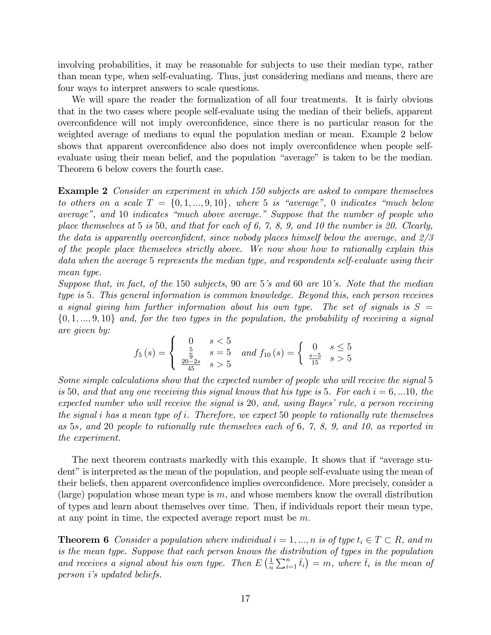involving probabilities, it may be reasonable for subjects to use their median type, rather than mean type, when self-evaluating. Thus, just considering medians and means, there are four ways to interpret answers to scale questions.

We will spare the reader the formalization of all four treatments. It is fairly obvious that in the two cases where people self-evaluate using the median of their beliefs, apparent overconfidence will not imply overconfidence, since there is no particular reason for the weighted average of medians to equal the population median or mean. Example 2 below shows that apparent overconfidence also does not imply overconfidence when people selfevaluate using their mean belief, and the population "average" is taken to be the median. Theorem 6 below covers the fourth case.

Example 2 Consider an experiment in which 150 subjects are asked to compare themselves to others on a scale  $T = \{0, 1, ..., 9, 10\}$ , where 5 is "average", 0 indicates "much below average", and 10 indicates "much above average." Suppose that the number of people who place themselves at 5 is 50, and that for each of 6, 7, 8, 9, and 10 the number is 20. Clearly, the data is apparently overconfident, since nobody places himself below the average, and  $2/3$ of the people place themselves strictly above. We now show how to rationally explain this data when the average 5 represents the median type, and respondents self-evaluate using their mean type.

Suppose that, in fact, of the 150 subjects, 90 are 5's and 60 are 10's. Note that the median type is 5. This general information is common knowledge. Beyond this, each person receives a signal giving him further information about his own type. The set of signals is  $S =$  $\{0, 1, ..., 9, 10\}$  and, for the two types in the population, the probability of receiving a signal are given by:

$$
f_5(s) = \begin{cases} 0 & s < 5\\ \frac{5}{9} & s = 5\\ \frac{20-2s}{45} & s > 5 \end{cases} and f_{10}(s) = \begin{cases} 0 & s \le 5\\ \frac{s-5}{15} & s > 5 \end{cases}
$$

Some simple calculations show that the expected number of people who will receive the signal 5 is 50, and that any one receiving this signal knows that his type is 5. For each  $i = 6,...10$ , the expected number who will receive the signal is 20, and, using Bayes' rule, a person receiving the signal i has a mean type of i. Therefore, we expect 50 people to rationally rate themselves as 5s, and 20 people to rationally rate themselves each of 6, 7, 8, 9, and 10, as reported in the experiment.

The next theorem contrasts markedly with this example. It shows that if "average student" is interpreted as the mean of the population, and people self-evaluate using the mean of their beliefs, then apparent overconfidence implies overconfidence. More precisely, consider a (large) population whose mean type is  $m$ , and whose members know the overall distribution of types and learn about themselves over time. Then, if individuals report their mean type, at any point in time, the expected average report must be  $m$ .

**Theorem 6** Consider a population where individual  $i = 1, ..., n$  is of type  $t_i \in T \subset R$ , and m is the mean type. Suppose that each person knows the distribution of types in the population and receives a signal about his own type. Then  $E\left(\frac{1}{n}\right)$  $\frac{1}{n}\sum_{i=1}^{n} \bar{t}_i$  = m, where  $\bar{t}_i$  is the mean of person iís updated beliefs.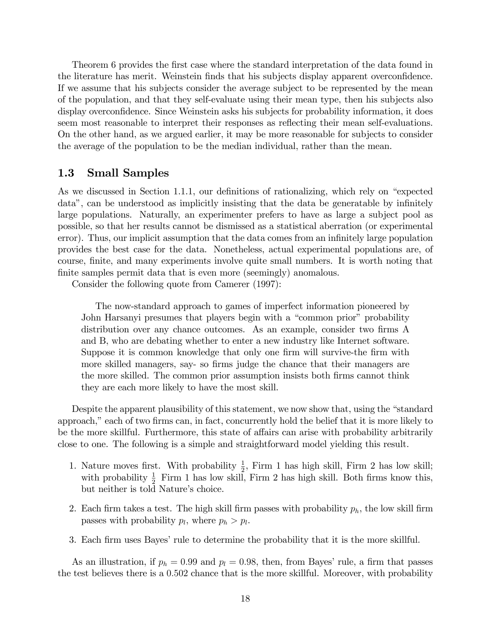Theorem 6 provides the first case where the standard interpretation of the data found in the literature has merit. Weinstein finds that his subjects display apparent overconfidence. If we assume that his subjects consider the average subject to be represented by the mean of the population, and that they self-evaluate using their mean type, then his subjects also display overconfidence. Since Weinstein asks his subjects for probability information, it does seem most reasonable to interpret their responses as reflecting their mean self-evaluations. On the other hand, as we argued earlier, it may be more reasonable for subjects to consider the average of the population to be the median individual, rather than the mean.

### 1.3 Small Samples

As we discussed in Section 1.1.1, our definitions of rationalizing, which rely on "expected data", can be understood as implicitly insisting that the data be generatable by infinitely large populations. Naturally, an experimenter prefers to have as large a subject pool as possible, so that her results cannot be dismissed as a statistical aberration (or experimental error). Thus, our implicit assumption that the data comes from an infinitely large population provides the best case for the data. Nonetheless, actual experimental populations are, of course, Önite, and many experiments involve quite small numbers. It is worth noting that finite samples permit data that is even more (seemingly) anomalous.

Consider the following quote from Camerer (1997):

The now-standard approach to games of imperfect information pioneered by John Harsanyi presumes that players begin with a "common prior" probability distribution over any chance outcomes. As an example, consider two firms A and B, who are debating whether to enter a new industry like Internet software. Suppose it is common knowledge that only one firm will survive-the firm with more skilled managers, say- so firms judge the chance that their managers are the more skilled. The common prior assumption insists both firms cannot think they are each more likely to have the most skill.

Despite the apparent plausibility of this statement, we now show that, using the "standard" approach," each of two firms can, in fact, concurrently hold the belief that it is more likely to be the more skillful. Furthermore, this state of affairs can arise with probability arbitrarily close to one. The following is a simple and straightforward model yielding this result.

- 1. Nature moves first. With probability  $\frac{1}{2}$ , Firm 1 has high skill, Firm 2 has low skill; with probability  $\frac{1}{2}$  Firm 1 has low skill, Firm 2 has high skill. Both firms know this, but neither is told Nature's choice.
- 2. Each firm takes a test. The high skill firm passes with probability  $p_h$ , the low skill firm passes with probability  $p_l$ , where  $p_h > p_l$ .
- 3. Each firm uses Bayes' rule to determine the probability that it is the more skillful.

As an illustration, if  $p_h = 0.99$  and  $p_l = 0.98$ , then, from Bayes' rule, a firm that passes the test believes there is a 0:502 chance that is the more skillful. Moreover, with probability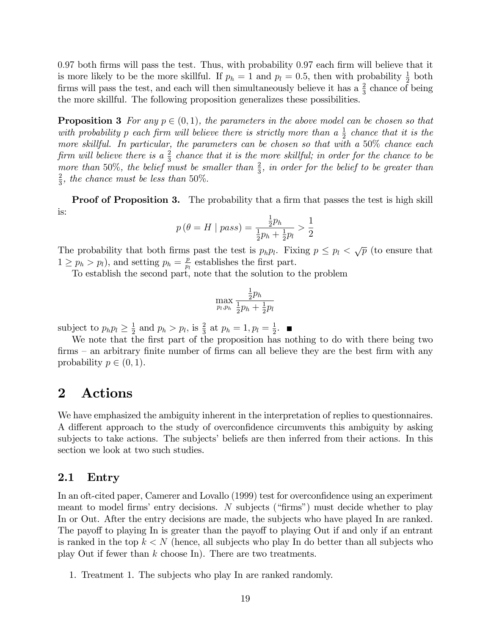0.97 both firms will pass the test. Thus, with probability 0.97 each firm will believe that it is more likely to be the more skillful. If  $p_h = 1$  and  $p_l = 0.5$ , then with probability  $\frac{1}{2}$  both firms will pass the test, and each will then simultaneously believe it has a  $\frac{2}{3}$  chance of being the more skillful. The following proposition generalizes these possibilities.

**Proposition 3** For any  $p \in (0, 1)$ , the parameters in the above model can be chosen so that with probability p each firm will believe there is strictly more than a  $\frac{1}{2}$  chance that it is the more skillful. In particular, the parameters can be chosen so that with a 50% chance each firm will believe there is a  $\frac{2}{3}$  chance that it is the more skillful; in order for the chance to be more than 50%, the belief must be smaller than  $\frac{2}{3}$ , in order for the belief to be greater than 2  $\frac{2}{3}$ , the chance must be less than 50%.

**Proof of Proposition 3.** The probability that a firm that passes the test is high skill is:

$$
p(\theta = H \mid pass) = \frac{\frac{1}{2}p_h}{\frac{1}{2}p_h + \frac{1}{2}p_l} > \frac{1}{2}
$$

The probability that both firms past the test is  $p_h p_l$ . Fixing  $p \leq p_l < \sqrt{p}$  (to ensure that  $1 \geq p_h > p_l$ , and setting  $p_h = \frac{p}{p_l}$  $\frac{p}{p_l}$  establishes the first part.

To establish the second part, note that the solution to the problem

$$
\max_{p_l, p_h} \frac{\frac{1}{2}p_h}{\frac{1}{2}p_h + \frac{1}{2}p_l}
$$

subject to  $p_h p_l \geq \frac{1}{2}$  $\frac{1}{2}$  and  $p_h > p_l$ , is  $\frac{2}{3}$  at  $p_h = 1, p_l = \frac{1}{2}$  $\frac{1}{2}$ .

We note that the first part of the proposition has nothing to do with there being two  $\text{firms}$  – an arbitrary finite number of firms can all believe they are the best firm with any probability  $p \in (0, 1)$ .

## 2 Actions

We have emphasized the ambiguity inherent in the interpretation of replies to questionnaires. A different approach to the study of overconfidence circumvents this ambiguity by asking subjects to take actions. The subjects' beliefs are then inferred from their actions. In this section we look at two such studies.

### 2.1 Entry

In an oft-cited paper, Camerer and Lovallo (1999) test for overconfidence using an experiment meant to model firms' entry decisions. N subjects ("firms") must decide whether to play In or Out. After the entry decisions are made, the subjects who have played In are ranked. The payoff to playing In is greater than the payoff to playing Out if and only if an entrant is ranked in the top  $k \leq N$  (hence, all subjects who play In do better than all subjects who play Out if fewer than  $k$  choose In). There are two treatments.

1. Treatment 1. The subjects who play In are ranked randomly.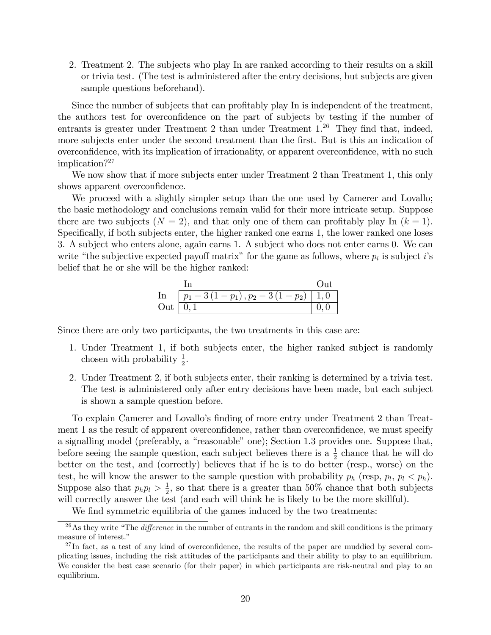2. Treatment 2. The subjects who play In are ranked according to their results on a skill or trivia test. (The test is administered after the entry decisions, but subjects are given sample questions beforehand).

Since the number of subjects that can profitably play In is independent of the treatment, the authors test for overconfidence on the part of subjects by testing if the number of entrants is greater under Treatment 2 than under Treatment  $1.^{26}$  They find that, indeed, more subjects enter under the second treatment than the first. But is this an indication of overconfidence, with its implication of irrationality, or apparent overconfidence, with no such implication?<sup>27</sup>

We now show that if more subjects enter under Treatment 2 than Treatment 1, this only shows apparent overconfidence.

We proceed with a slightly simpler setup than the one used by Camerer and Lovallo; the basic methodology and conclusions remain valid for their more intricate setup. Suppose there are two subjects  $(N = 2)$ , and that only one of them can profitably play In  $(k = 1)$ . Specifically, if both subjects enter, the higher ranked one earns 1, the lower ranked one loses 3. A subject who enters alone, again earns 1. A subject who does not enter earns 0. We can write "the subjective expected payoff matrix" for the game as follows, where  $p_i$  is subject i's belief that he or she will be the higher ranked:

In  
\nOut  
\n
$$
\ln \frac{D_{1}-3(1-p_{1}), p_{2}-3(1-p_{2})}{[p_{1}-3(1-p_{1}), p_{2}-3(1-p_{2})]} \frac{D_{1}}{[0, 0]}
$$

Since there are only two participants, the two treatments in this case are:

- 1. Under Treatment 1, if both subjects enter, the higher ranked subject is randomly chosen with probability  $\frac{1}{2}$ .
- 2. Under Treatment 2, if both subjects enter, their ranking is determined by a trivia test. The test is administered only after entry decisions have been made, but each subject is shown a sample question before.

To explain Camerer and Lovallo's finding of more entry under Treatment 2 than Treatment 1 as the result of apparent overconfidence, rather than overconfidence, we must specify a signalling model (preferably, a "reasonable" one); Section 1.3 provides one. Suppose that, before seeing the sample question, each subject believes there is a  $\frac{1}{2}$  chance that he will do better on the test, and (correctly) believes that if he is to do better (resp., worse) on the test, he will know the answer to the sample question with probability  $p_h$  (resp,  $p_l$ ,  $p_l < p_h$ ). Suppose also that  $p_h p_l > \frac{1}{2}$  $\frac{1}{2}$ , so that there is a greater than 50% chance that both subjects will correctly answer the test (and each will think he is likely to be the more skillful).

We find symmetric equilibria of the games induced by the two treatments:

 $\frac{26}{10}$ As they write "The *difference* in the number of entrants in the random and skill conditions is the primary measure of interest."

 $^{27}$ In fact, as a test of any kind of overconfidence, the results of the paper are muddied by several complicating issues, including the risk attitudes of the participants and their ability to play to an equilibrium. We consider the best case scenario (for their paper) in which participants are risk-neutral and play to an equilibrium.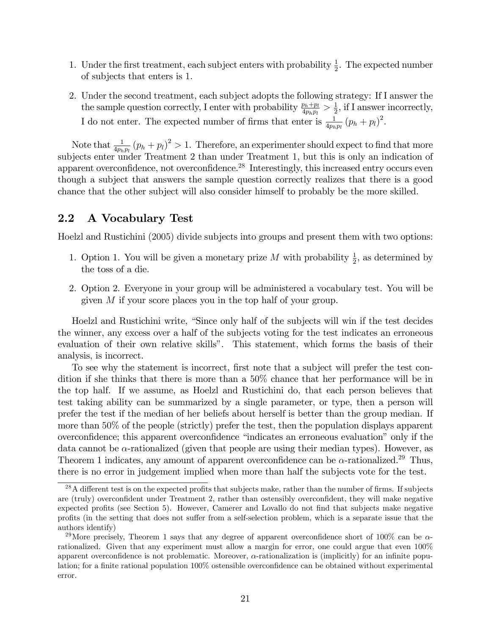- 1. Under the first treatment, each subject enters with probability  $\frac{1}{2}$ . The expected number of subjects that enters is 1.
- 2. Under the second treatment, each subject adopts the following strategy: If I answer the the sample question correctly, I enter with probability  $\frac{p_h+p_l}{4p_h p_l} > \frac{1}{2}$  $\frac{1}{2}$ , if I answer incorrectly, I do not enter. The expected number of firms that enter is  $\frac{1}{4p_h p_l}(p_h + p_l)^2$ .

Note that  $\frac{1}{4p_h p_l}(p_h + p_l)^2 > 1$ . Therefore, an experimenter should expect to find that more subjects enter under Treatment 2 than under Treatment 1, but this is only an indication of apparent overconfidence, not overconfidence.<sup>28</sup> Interestingly, this increased entry occurs even though a subject that answers the sample question correctly realizes that there is a good chance that the other subject will also consider himself to probably be the more skilled.

### 2.2 A Vocabulary Test

Hoelzl and Rustichini (2005) divide subjects into groups and present them with two options:

- 1. Option 1. You will be given a monetary prize M with probability  $\frac{1}{2}$ , as determined by the toss of a die.
- 2. Option 2. Everyone in your group will be administered a vocabulary test. You will be given M if your score places you in the top half of your group.

Hoelzl and Rustichini write, "Since only half of the subjects will win if the test decides the winner, any excess over a half of the subjects voting for the test indicates an erroneous evaluation of their own relative skills". This statement, which forms the basis of their analysis, is incorrect.

To see why the statement is incorrect, first note that a subject will prefer the test condition if she thinks that there is more than a 50% chance that her performance will be in the top half. If we assume, as Hoelzl and Rustichini do, that each person believes that test taking ability can be summarized by a single parameter, or type, then a person will prefer the test if the median of her beliefs about herself is better than the group median. If more than 50% of the people (strictly) prefer the test, then the population displays apparent overconfidence; this apparent overconfidence "indicates an erroneous evaluation" only if the data cannot be  $\alpha$ -rationalized (given that people are using their median types). However, as Theorem 1 indicates, any amount of apparent overconfidence can be  $\alpha$ -rationalized.<sup>29</sup> Thus, there is no error in judgement implied when more than half the subjects vote for the test.

 $28A$  different test is on the expected profits that subjects make, rather than the number of firms. If subjects are (truly) overconfident under Treatment 2, rather than ostensibly overconfident, they will make negative expected profits (see Section 5). However, Camerer and Lovallo do not find that subjects make negative profits (in the setting that does not suffer from a self-selection problem, which is a separate issue that the authors identify)

<sup>&</sup>lt;sup>29</sup>More precisely, Theorem 1 says that any degree of apparent overconfidence short of 100% can be  $\alpha$ rationalized. Given that any experiment must allow a margin for error, one could argue that even 100% apparent overconfidence is not problematic. Moreover,  $\alpha$ -rationalization is (implicitly) for an infinite population; for a finite rational population 100% ostensible overconfidence can be obtained without experimental error.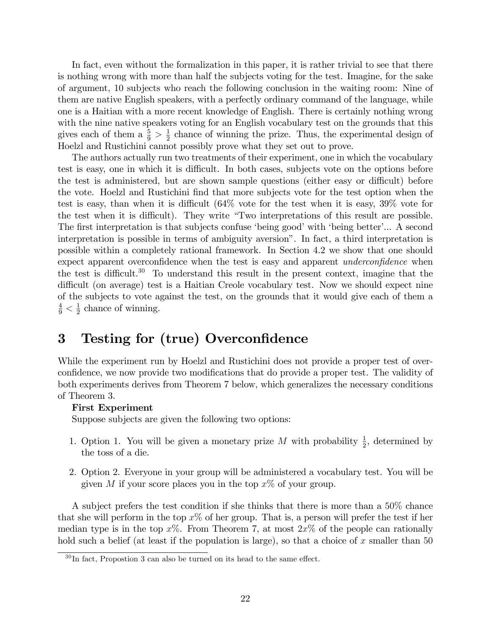In fact, even without the formalization in this paper, it is rather trivial to see that there is nothing wrong with more than half the subjects voting for the test. Imagine, for the sake of argument, 10 subjects who reach the following conclusion in the waiting room: Nine of them are native English speakers, with a perfectly ordinary command of the language, while one is a Haitian with a more recent knowledge of English. There is certainly nothing wrong with the nine native speakers voting for an English vocabulary test on the grounds that this gives each of them a  $\frac{5}{9} > \frac{1}{2}$  $\frac{1}{2}$  chance of winning the prize. Thus, the experimental design of Hoelzl and Rustichini cannot possibly prove what they set out to prove.

The authors actually run two treatments of their experiment, one in which the vocabulary test is easy, one in which it is difficult. In both cases, subjects vote on the options before the test is administered, but are shown sample questions (either easy or difficult) before the vote. Hoelzl and Rustichini find that more subjects vote for the test option when the test is easy, than when it is difficult  $(64\% \text{ vote}$  for the test when it is easy,  $39\%$  vote for the test when it is difficult). They write "Two interpretations of this result are possible. The first interpretation is that subjects confuse 'being good' with 'being better'... A second interpretation is possible in terms of ambiguity aversion". In fact, a third interpretation is possible within a completely rational framework. In Section 4.2 we show that one should expect apparent overconfidence when the test is easy and apparent *underconfidence* when the test is difficult.<sup>30</sup> To understand this result in the present context, imagine that the difficult (on average) test is a Haitian Creole vocabulary test. Now we should expect nine of the subjects to vote against the test, on the grounds that it would give each of them a  $\frac{4}{9} < \frac{1}{2}$  $\frac{1}{2}$  chance of winning.

# 3 Testing for (true) Overconfidence

While the experiment run by Hoelzl and Rustichini does not provide a proper test of overconfidence, we now provide two modifications that do provide a proper test. The validity of both experiments derives from Theorem 7 below, which generalizes the necessary conditions of Theorem 3.

### First Experiment

Suppose subjects are given the following two options:

- 1. Option 1. You will be given a monetary prize M with probability  $\frac{1}{2}$ , determined by the toss of a die.
- 2. Option 2. Everyone in your group will be administered a vocabulary test. You will be given M if your score places you in the top  $x\%$  of your group.

A subject prefers the test condition if she thinks that there is more than a 50% chance that she will perform in the top  $x\%$  of her group. That is, a person will prefer the test if her median type is in the top  $x\%$ . From Theorem 7, at most  $2x\%$  of the people can rationally hold such a belief (at least if the population is large), so that a choice of x smaller than  $50$ 

 $30$ In fact, Propostion 3 can also be turned on its head to the same effect.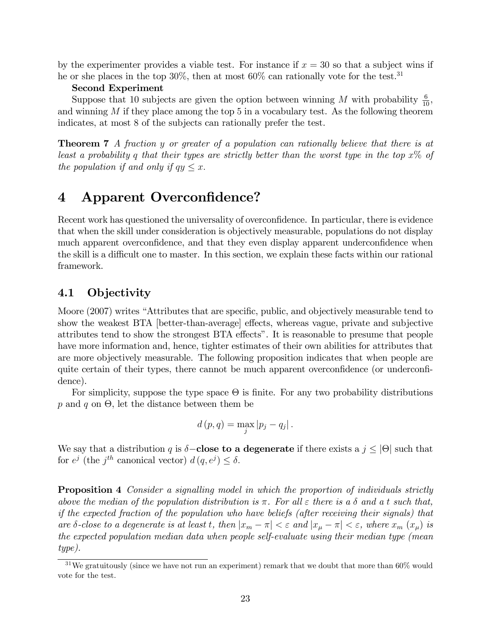by the experimenter provides a viable test. For instance if  $x = 30$  so that a subject wins if he or she places in the top  $30\%$ , then at most  $60\%$  can rationally vote for the test.<sup>31</sup>

#### Second Experiment

Suppose that 10 subjects are given the option between winning M with probability  $\frac{6}{10}$ , and winning  $M$  if they place among the top 5 in a vocabulary test. As the following theorem indicates, at most 8 of the subjects can rationally prefer the test.

**Theorem 7** A fraction y or greater of a population can rationally believe that there is at least a probability q that their types are strictly better than the worst type in the top  $x\%$  of the population if and only if  $qy \leq x$ .

# 4 Apparent Overconfidence?

Recent work has questioned the universality of overconfidence. In particular, there is evidence that when the skill under consideration is objectively measurable, populations do not display much apparent overconfidence, and that they even display apparent underconfidence when the skill is a difficult one to master. In this section, we explain these facts within our rational framework.

### 4.1 Objectivity

Moore (2007) writes "Attributes that are specific, public, and objectively measurable tend to show the weakest BTA [better-than-average] effects, whereas vague, private and subjective attributes tend to show the strongest BTA effects". It is reasonable to presume that people have more information and, hence, tighter estimates of their own abilities for attributes that are more objectively measurable. The following proposition indicates that when people are quite certain of their types, there cannot be much apparent overconfidence (or underconfidence).

For simplicity, suppose the type space  $\Theta$  is finite. For any two probability distributions  $p$  and  $q$  on  $\Theta$ , let the distance between them be

$$
d(p,q) = \max_{j} |p_j - q_j|.
$$

We say that a distribution q is  $\delta$ **-close to a degenerate** if there exists a  $j \leq |\Theta|$  such that for  $e^j$  (the  $j^{th}$  canonical vector)  $d(q, e^j) \leq \delta$ .

**Proposition 4** Consider a signalling model in which the proportion of individuals strictly above the median of the population distribution is  $\pi$ . For all  $\varepsilon$  there is a  $\delta$  and a t such that, if the expected fraction of the population who have beliefs (after receiving their signals) that are  $\delta$ -close to a degenerate is at least t, then  $|x_m - \pi| < \varepsilon$  and  $|x_\mu - \pi| < \varepsilon$ , where  $x_m(x_\mu)$  is the expected population median data when people self-evaluate using their median type (mean type).

<sup>&</sup>lt;sup>31</sup>We gratuitously (since we have not run an experiment) remark that we doubt that more than  $60\%$  would vote for the test.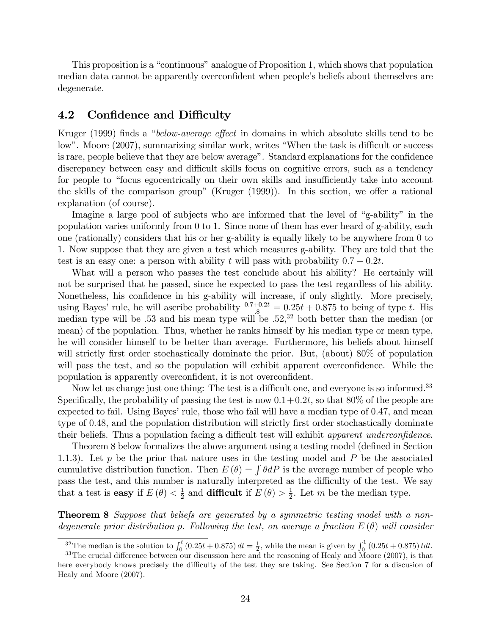This proposition is a "continuous" analogue of Proposition 1, which shows that population median data cannot be apparently overconfident when people's beliefs about themselves are degenerate.

### 4.2 Confidence and Difficulty

Kruger (1999) finds a "below-average effect in domains in which absolute skills tend to be low". Moore (2007), summarizing similar work, writes "When the task is difficult or success is rare, people believe that they are below average". Standard explanations for the confidence discrepancy between easy and difficult skills focus on cognitive errors, such as a tendency for people to "focus egocentrically on their own skills and insufficiently take into account the skills of the comparison group" (Kruger  $(1999)$ ). In this section, we offer a rational explanation (of course).

Imagine a large pool of subjects who are informed that the level of "g-ability" in the population varies uniformly from 0 to 1. Since none of them has ever heard of g-ability, each one (rationally) considers that his or her g-ability is equally likely to be anywhere from 0 to 1. Now suppose that they are given a test which measures g-ability. They are told that the test is an easy one: a person with ability t will pass with probability  $0.7 + 0.2t$ .

What will a person who passes the test conclude about his ability? He certainly will not be surprised that he passed, since he expected to pass the test regardless of his ability. Nonetheless, his confidence in his g-ability will increase, if only slightly. More precisely, using Bayes' rule, he will ascribe probability  $\frac{0.7+0.2t}{0.8} = 0.25t + 0.875$  to being of type t. His median type will be :53 and his mean type will be :52, <sup>32</sup> both better than the median (or mean) of the population. Thus, whether he ranks himself by his median type or mean type, he will consider himself to be better than average. Furthermore, his beliefs about himself will strictly first order stochastically dominate the prior. But, (about) 80% of population will pass the test, and so the population will exhibit apparent overconfidence. While the population is apparently overconfident, it is not overconfident.

Now let us change just one thing: The test is a difficult one, and everyone is so informed.<sup>33</sup> Specifically, the probability of passing the test is now  $0.1+0.2t$ , so that 80% of the people are expected to fail. Using Bayes' rule, those who fail will have a median type of 0.47, and mean type of 0.48, and the population distribution will strictly first order stochastically dominate their beliefs. Thus a population facing a difficult test will exhibit apparent underconfidence.

Theorem 8 below formalizes the above argument using a testing model (defined in Section 1.1.3). Let  $p$  be the prior that nature uses in the testing model and  $P$  be the associated cumulative distribution function. Then  $E(\theta) = \int \theta dP$  is the average number of people who pass the test, and this number is naturally interpreted as the difficulty of the test. We say that a test is **easy** if  $E(\theta) < \frac{1}{2}$  $\frac{1}{2}$  and **difficult** if  $E(\theta) > \frac{1}{2}$  $\frac{1}{2}$ . Let m be the median type.

**Theorem 8** Suppose that beliefs are generated by a symmetric testing model with a nondegenerate prior distribution p. Following the test, on average a fraction  $E(\theta)$  will consider

<sup>&</sup>lt;sup>32</sup>The median is the solution to  $\int_0^t (0.25t + 0.875) dt = \frac{1}{2}$ , while the mean is given by  $\int_0^1 (0.25t + 0.875) t dt$ .

 $33$ The crucial difference between our discussion here and the reasoning of Healy and Moore (2007), is that here everybody knows precisely the difficulty of the test they are taking. See Section 7 for a discusion of Healy and Moore (2007).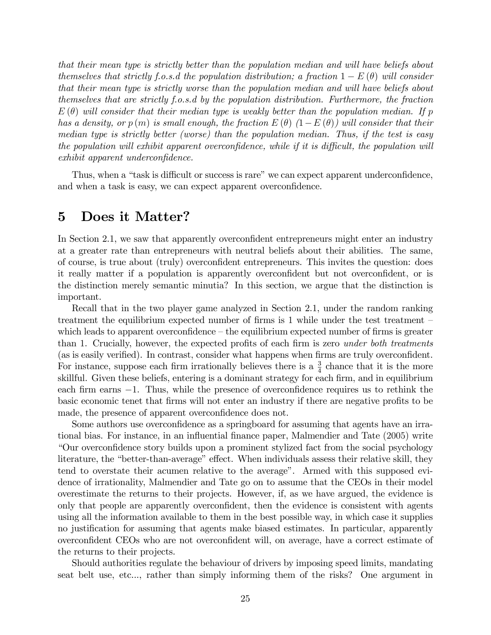that their mean type is strictly better than the population median and will have beliefs about themselves that strictly f.o.s.d the population distribution; a fraction  $1 - E(\theta)$  will consider that their mean type is strictly worse than the population median and will have beliefs about themselves that are strictly f.o.s.d by the population distribution. Furthermore, the fraction  $E(\theta)$  will consider that their median type is weakly better than the population median. If p has a density, or  $p(m)$  is small enough, the fraction  $E(\theta)$   $(1-E(\theta))$  will consider that their median type is strictly better (worse) than the population median. Thus, if the test is easy the population will exhibit apparent overconfidence, while if it is difficult, the population will  $exhibit$  apparent underconfidence.

Thus, when a "task is difficult or success is rare" we can expect apparent underconfidence, and when a task is easy, we can expect apparent overconfidence.

### 5 Does it Matter?

In Section 2.1, we saw that apparently overconfident entrepreneurs might enter an industry at a greater rate than entrepreneurs with neutral beliefs about their abilities. The same, of course, is true about (truly) overconfident entrepreneurs. This invites the question: does it really matter if a population is apparently overconfident but not overconfident, or is the distinction merely semantic minutia? In this section, we argue that the distinction is important.

Recall that in the two player game analyzed in Section 2.1, under the random ranking treatment the equilibrium expected number of firms is 1 while under the test treatment  $\overline{\phantom{a}}$ which leads to apparent overconfidence  $-\theta$  the equilibrium expected number of firms is greater than 1. Crucially, however, the expected profits of each firm is zero *under both treatments* (as is easily verified). In contrast, consider what happens when firms are truly overconfident. For instance, suppose each firm irrationally believes there is a  $\frac{3}{4}$  chance that it is the more skillful. Given these beliefs, entering is a dominant strategy for each firm, and in equilibrium each firm earns  $-1$ . Thus, while the presence of overconfidence requires us to rethink the basic economic tenet that firms will not enter an industry if there are negative profits to be made, the presence of apparent overconfidence does not.

Some authors use overconfidence as a springboard for assuming that agents have an irrational bias. For instance, in an influential finance paper, Malmendier and Tate (2005) write ìOur overconÖdence story builds upon a prominent stylized fact from the social psychology literature, the "better-than-average" effect. When individuals assess their relative skill, they tend to overstate their acumen relative to the average". Armed with this supposed evidence of irrationality, Malmendier and Tate go on to assume that the CEOs in their model overestimate the returns to their projects. However, if, as we have argued, the evidence is only that people are apparently overconfident, then the evidence is consistent with agents using all the information available to them in the best possible way, in which case it supplies no justification for assuming that agents make biased estimates. In particular, apparently overconfident CEOs who are not overconfident will, on average, have a correct estimate of the returns to their projects.

Should authorities regulate the behaviour of drivers by imposing speed limits, mandating seat belt use, etc..., rather than simply informing them of the risks? One argument in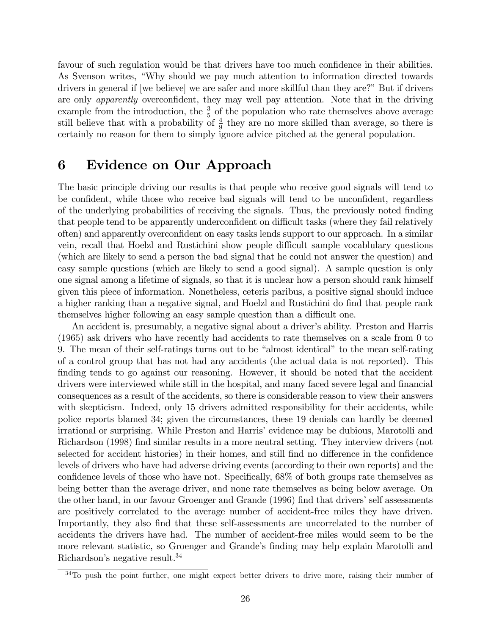favour of such regulation would be that drivers have too much confidence in their abilities. As Svenson writes, "Why should we pay much attention to information directed towards drivers in general if [we believe] we are safer and more skillful than they are?" But if drivers are only *apparently* overconfident, they may well pay attention. Note that in the driving example from the introduction, the  $\frac{3}{5}$  of the population who rate themselves above average still believe that with a probability of  $\frac{4}{9}$  they are no more skilled than average, so there is certainly no reason for them to simply ignore advice pitched at the general population.

# 6 Evidence on Our Approach

The basic principle driving our results is that people who receive good signals will tend to be confident, while those who receive bad signals will tend to be unconfident, regardless of the underlying probabilities of receiving the signals. Thus, the previously noted Önding that people tend to be apparently underconfident on difficult tasks (where they fail relatively often) and apparently overconfident on easy tasks lends support to our approach. In a similar vein, recall that Hoelzl and Rustichini show people difficult sample vocablulary questions (which are likely to send a person the bad signal that he could not answer the question) and easy sample questions (which are likely to send a good signal). A sample question is only one signal among a lifetime of signals, so that it is unclear how a person should rank himself given this piece of information. Nonetheless, ceteris paribus, a positive signal should induce a higher ranking than a negative signal, and Hoelzl and Rustichini do find that people rank themselves higher following an easy sample question than a difficult one.

An accident is, presumably, a negative signal about a driver's ability. Preston and Harris (1965) ask drivers who have recently had accidents to rate themselves on a scale from 0 to 9. The mean of their self-ratings turns out to be "almost identical" to the mean self-rating of a control group that has not had any accidents (the actual data is not reported). This finding tends to go against our reasoning. However, it should be noted that the accident drivers were interviewed while still in the hospital, and many faced severe legal and financial consequences as a result of the accidents, so there is considerable reason to view their answers with skepticism. Indeed, only 15 drivers admitted responsibility for their accidents, while police reports blamed 34; given the circumstances, these 19 denials can hardly be deemed irrational or surprising. While Preston and Harrisí evidence may be dubious, Marotolli and Richardson (1998) find similar results in a more neutral setting. They interview drivers (not selected for accident histories) in their homes, and still find no difference in the confidence levels of drivers who have had adverse driving events (according to their own reports) and the confidence levels of those who have not. Specifically,  $68\%$  of both groups rate themselves as being better than the average driver, and none rate themselves as being below average. On the other hand, in our favour Groenger and Grande (1996) find that drivers' self assessments are positively correlated to the average number of accident-free miles they have driven. Importantly, they also find that these self-assessments are uncorrelated to the number of accidents the drivers have had. The number of accident-free miles would seem to be the more relevant statistic, so Groenger and Grande's finding may help explain Marotolli and Richardson's negative result.<sup>34</sup>

<sup>&</sup>lt;sup>34</sup>To push the point further, one might expect better drivers to drive more, raising their number of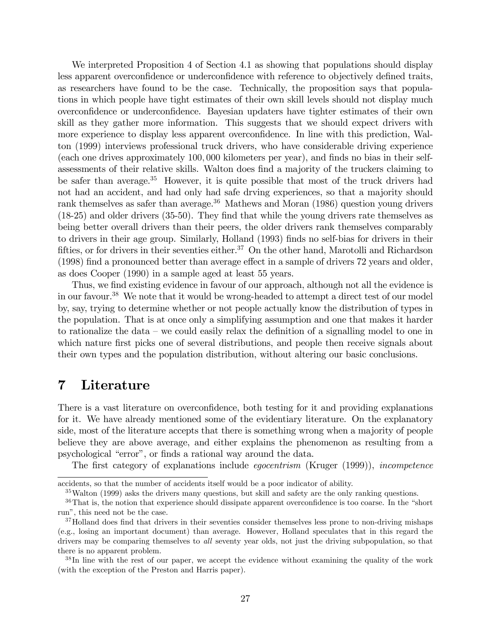We interpreted Proposition 4 of Section 4.1 as showing that populations should display less apparent overconfidence or underconfidence with reference to objectively defined traits, as researchers have found to be the case. Technically, the proposition says that populations in which people have tight estimates of their own skill levels should not display much overconÖdence or underconÖdence. Bayesian updaters have tighter estimates of their own skill as they gather more information. This suggests that we should expect drivers with more experience to display less apparent overconfidence. In line with this prediction, Walton (1999) interviews professional truck drivers, who have considerable driving experience (each one drives approximately 100; 000 kilometers per year), and Önds no bias in their selfassessments of their relative skills. Walton does find a majority of the truckers claiming to be safer than average.<sup>35</sup> However, it is quite possible that most of the truck drivers had not had an accident, and had only had safe drving experiences, so that a majority should rank themselves as safer than average.<sup>36</sup> Mathews and Moran (1986) question young drivers  $(18-25)$  and older drivers  $(35-50)$ . They find that while the young drivers rate themselves as being better overall drivers than their peers, the older drivers rank themselves comparably to drivers in their age group. Similarly, Holland (1993) finds no self-bias for drivers in their fifties, or for drivers in their seventies either.<sup>37</sup> On the other hand, Marotolli and Richardson  $(1998)$  find a pronounced better than average effect in a sample of drivers 72 years and older, as does Cooper (1990) in a sample aged at least 55 years.

Thus, we find existing evidence in favour of our approach, although not all the evidence is in our favour.<sup>38</sup> We note that it would be wrong-headed to attempt a direct test of our model by, say, trying to determine whether or not people actually know the distribution of types in the population. That is at once only a simplifying assumption and one that makes it harder to rationalize the data  $-\omega$  could easily relax the definition of a signalling model to one in which nature first picks one of several distributions, and people then receive signals about their own types and the population distribution, without altering our basic conclusions.

### 7 Literature

There is a vast literature on overconfidence, both testing for it and providing explanations for it. We have already mentioned some of the evidentiary literature. On the explanatory side, most of the literature accepts that there is something wrong when a majority of people believe they are above average, and either explains the phenomenon as resulting from a psychological "error", or finds a rational way around the data.

The first category of explanations include *egocentrism* (Kruger (1999)), *incompetence* 

accidents, so that the number of accidents itself would be a poor indicator of ability.

 $35$ Walton (1999) asks the drivers many questions, but skill and safety are the only ranking questions.

 $36$ That is, the notion that experience should dissipate apparent overconfidence is too coarse. In the "short run", this need not be the case.

 $37$ Holland does find that drivers in their seventies consider themselves less prone to non-driving mishaps (e.g., losing an important document) than average. However, Holland speculates that in this regard the drivers may be comparing themselves to all seventy year olds, not just the driving subpopulation, so that there is no apparent problem.

<sup>&</sup>lt;sup>38</sup>In line with the rest of our paper, we accept the evidence without examining the quality of the work (with the exception of the Preston and Harris paper).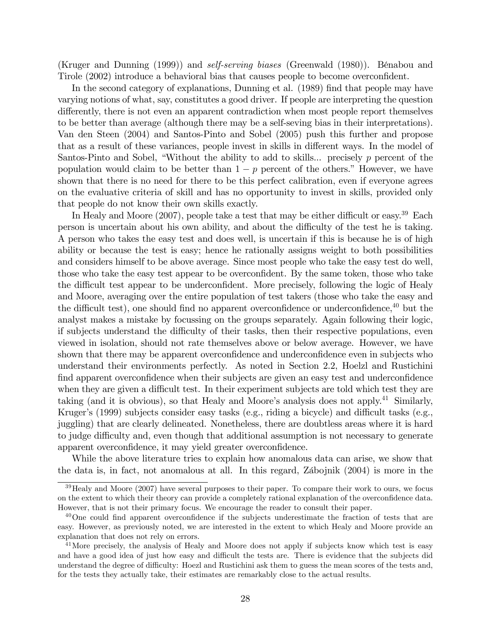(Kruger and Dunning (1999)) and *self-serving biases* (Greenwald (1980)). Bénabou and Tirole (2002) introduce a behavioral bias that causes people to become overconfident.

In the second category of explanations, Dunning et al. (1989) find that people may have varying notions of what, say, constitutes a good driver. If people are interpreting the question differently, there is not even an apparent contradiction when most people report themselves to be better than average (although there may be a self-seving bias in their interpretations). Van den Steen (2004) and Santos-Pinto and Sobel (2005) push this further and propose that as a result of these variances, people invest in skills in different ways. In the model of Santos-Pinto and Sobel, "Without the ability to add to skills... precisely  $p$  percent of the population would claim to be better than  $1 - p$  percent of the others." However, we have shown that there is no need for there to be this perfect calibration, even if everyone agrees on the evaluative criteria of skill and has no opportunity to invest in skills, provided only that people do not know their own skills exactly.

In Healy and Moore  $(2007)$ , people take a test that may be either difficult or easy.<sup>39</sup> Each person is uncertain about his own ability, and about the difficulty of the test he is taking. A person who takes the easy test and does well, is uncertain if this is because he is of high ability or because the test is easy; hence he rationally assigns weight to both possibilities and considers himself to be above average. Since most people who take the easy test do well, those who take the easy test appear to be overconfident. By the same token, those who take the difficult test appear to be underconfident. More precisely, following the logic of Healy and Moore, averaging over the entire population of test takers (those who take the easy and the difficult test), one should find no apparent overconfidence or underconfidence,  $40$  but the analyst makes a mistake by focussing on the groups separately. Again following their logic, if subjects understand the difficulty of their tasks, then their respective populations, even viewed in isolation, should not rate themselves above or below average. However, we have shown that there may be apparent overconfidence and underconfidence even in subjects who understand their environments perfectly. As noted in Section 2.2, Hoelzl and Rustichini find apparent overconfidence when their subjects are given an easy test and underconfidence when they are given a difficult test. In their experiment subjects are told which test they are taking (and it is obvious), so that Healy and Moore's analysis does not apply.<sup>41</sup> Similarly, Kruger's (1999) subjects consider easy tasks (e.g., riding a bicycle) and difficult tasks (e.g., juggling) that are clearly delineated. Nonetheless, there are doubtless areas where it is hard to judge difficulty and, even though that additional assumption is not necessary to generate apparent overconfidence, it may yield greater overconfidence.

While the above literature tries to explain how anomalous data can arise, we show that the data is, in fact, not anomalous at all. In this regard, Zábojnik  $(2004)$  is more in the

<sup>&</sup>lt;sup>39</sup>Healy and Moore (2007) have several purposes to their paper. To compare their work to ours, we focus on the extent to which their theory can provide a completely rational explanation of the overconfidence data. However, that is not their primary focus. We encourage the reader to consult their paper.

 $40$ One could find apparent overconfidence if the subjects underestimate the fraction of tests that are easy. However, as previously noted, we are interested in the extent to which Healy and Moore provide an explanation that does not rely on errors.

<sup>&</sup>lt;sup>41</sup>More precisely, the analysis of Healy and Moore does not apply if subjects know which test is easy and have a good idea of just how easy and difficult the tests are. There is evidence that the subjects did understand the degree of difficulty: Hoezl and Rustichini ask them to guess the mean scores of the tests and, for the tests they actually take, their estimates are remarkably close to the actual results.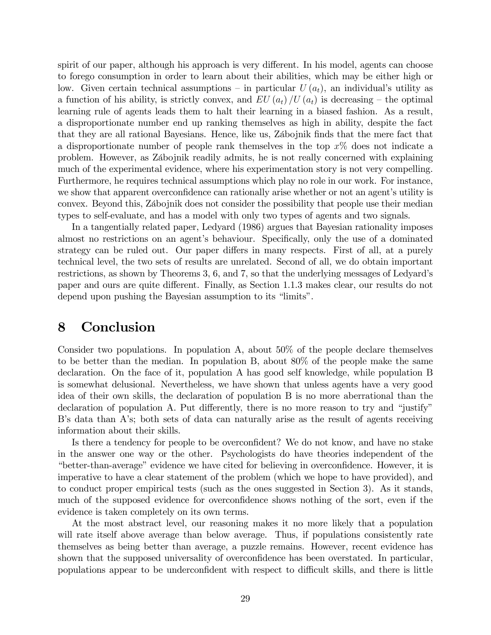spirit of our paper, although his approach is very different. In his model, agents can choose to forego consumption in order to learn about their abilities, which may be either high or low. Given certain technical assumptions – in particular  $U(a_t)$ , an individual's utility as a function of his ability, is strictly convex, and  $EU(a_t)/U(a_t)$  is decreasing – the optimal learning rule of agents leads them to halt their learning in a biased fashion. As a result, a disproportionate number end up ranking themselves as high in ability, despite the fact that they are all rational Bayesians. Hence, like us, Zábojnik finds that the mere fact that a disproportionate number of people rank themselves in the top  $x\%$  does not indicate a problem. However, as Zábojnik readily admits, he is not really concerned with explaining much of the experimental evidence, where his experimentation story is not very compelling. Furthermore, he requires technical assumptions which play no role in our work. For instance, we show that apparent overconfidence can rationally arise whether or not an agent's utility is convex. Beyond this, Zábojnik does not consider the possibility that people use their median types to self-evaluate, and has a model with only two types of agents and two signals.

In a tangentially related paper, Ledyard (1986) argues that Bayesian rationality imposes almost no restrictions on an agent's behaviour. Specifically, only the use of a dominated strategy can be ruled out. Our paper differs in many respects. First of all, at a purely technical level, the two sets of results are unrelated. Second of all, we do obtain important restrictions, as shown by Theorems 3, 6, and 7, so that the underlying messages of Ledyard's paper and ours are quite different. Finally, as Section 1.1.3 makes clear, our results do not depend upon pushing the Bayesian assumption to its "limits".

### 8 Conclusion

Consider two populations. In population A, about 50% of the people declare themselves to be better than the median. In population B, about 80% of the people make the same declaration. On the face of it, population A has good self knowledge, while population B is somewhat delusional. Nevertheless, we have shown that unless agents have a very good idea of their own skills, the declaration of population B is no more aberrational than the declaration of population A. Put differently, there is no more reason to try and "justify" B's data than A's; both sets of data can naturally arise as the result of agents receiving information about their skills.

Is there a tendency for people to be overconfident? We do not know, and have no stake in the answer one way or the other. Psychologists do have theories independent of the Exter-than-average" evidence we have cited for believing in overconfidence. However, it is imperative to have a clear statement of the problem (which we hope to have provided), and to conduct proper empirical tests (such as the ones suggested in Section 3). As it stands, much of the supposed evidence for overconfidence shows nothing of the sort, even if the evidence is taken completely on its own terms.

At the most abstract level, our reasoning makes it no more likely that a population will rate itself above average than below average. Thus, if populations consistently rate themselves as being better than average, a puzzle remains. However, recent evidence has shown that the supposed universality of overconfidence has been overstated. In particular, populations appear to be underconfident with respect to difficult skills, and there is little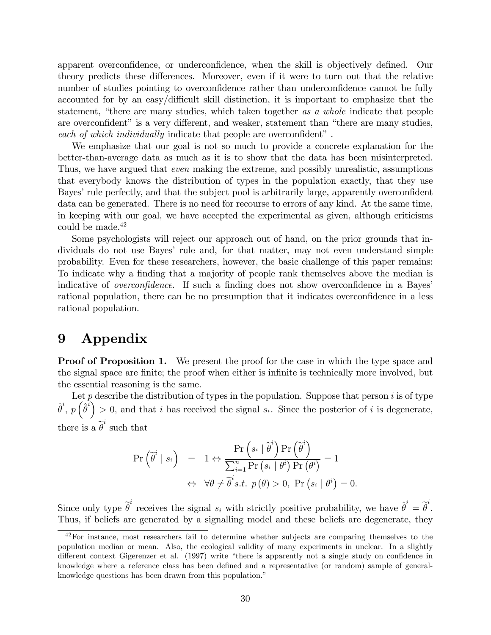apparent overconfidence, or underconfidence, when the skill is objectively defined. Our theory predicts these differences. Moreover, even if it were to turn out that the relative number of studies pointing to overconfidence rather than underconfidence cannot be fully accounted for by an easy/difficult skill distinction, it is important to emphasize that the statement, "there are many studies, which taken together as a whole indicate that people are overconfident" is a very different, and weaker, statement than "there are many studies, each of which individually indicate that people are overconfident".

We emphasize that our goal is not so much to provide a concrete explanation for the better-than-average data as much as it is to show that the data has been misinterpreted. Thus, we have argued that even making the extreme, and possibly unrealistic, assumptions that everybody knows the distribution of types in the population exactly, that they use Bayes' rule perfectly, and that the subject pool is arbitrarily large, apparently overconfident data can be generated. There is no need for recourse to errors of any kind. At the same time, in keeping with our goal, we have accepted the experimental as given, although criticisms could be made.<sup>42</sup>

Some psychologists will reject our approach out of hand, on the prior grounds that individuals do not use Bayes' rule and, for that matter, may not even understand simple probability. Even for these researchers, however, the basic challenge of this paper remains: To indicate why a finding that a majority of people rank themselves above the median is indicative of *overconfidence*. If such a finding does not show overconfidence in a Bayes' rational population, there can be no presumption that it indicates overconfidence in a less rational population.

## 9 Appendix

**Proof of Proposition 1.** We present the proof for the case in which the type space and the signal space are finite; the proof when either is infinite is technically more involved, but the essential reasoning is the same.

Let  $p$  describe the distribution of types in the population. Suppose that person  $i$  is of type  $\hat{\theta}^i$ ,  $p\left(\hat{\theta}^i\right) > 0$ , and that i has received the signal si. Since the posterior of i is degenerate, there is a  $\tilde{\theta}^i$  such that

$$
\Pr\left(\widetilde{\theta}^{i} \mid s_{i}\right) = 1 \Leftrightarrow \frac{\Pr\left(s_{i} \mid \widetilde{\theta}^{i}\right) \Pr\left(\widetilde{\theta}^{i}\right)}{\sum_{i=1}^{n} \Pr\left(s_{i} \mid \theta^{i}\right) \Pr\left(\theta^{i}\right)} = 1
$$

$$
\Leftrightarrow \forall \theta \neq \widetilde{\theta}^{i} s.t. \ p(\theta) > 0, \ \Pr\left(s_{i} \mid \theta^{i}\right) = 0.
$$

Since only type  $\tilde{\theta}^i$  receives the signal  $s_i$  with strictly positive probability, we have  $\hat{\theta}^i = \tilde{\theta}^i$ . Thus, if beliefs are generated by a signalling model and these beliefs are degenerate, they

<sup>&</sup>lt;sup>42</sup>For instance, most researchers fail to determine whether subjects are comparing themselves to the population median or mean. Also, the ecological validity of many experiments in unclear. In a slightly different context Gigerenzer et al. (1997) write "there is apparently not a single study on confidence in knowledge where a reference class has been defined and a representative (or random) sample of generalknowledge questions has been drawn from this population.<sup>"</sup>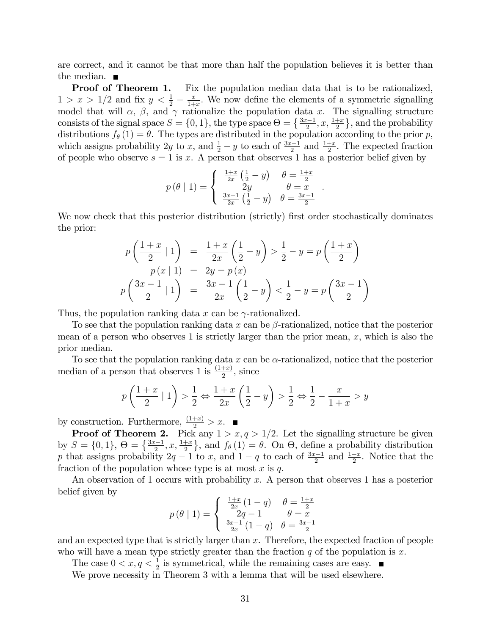are correct, and it cannot be that more than half the population believes it is better than the median.  $\blacksquare$ 

**Proof of Theorem 1.** Fix the population median data that is to be rationalized,  $1 > x > 1/2$  and fix  $y < \frac{1}{2} - \frac{x}{1+1}$  $\frac{x}{1+x}$ . We now define the elements of a symmetric signalling model that will  $\alpha$ ,  $\beta$ , and  $\gamma$  rationalize the population data x. The signalling structure consists of the signal space  $S = \{0, 1\}$ , the type space  $\Theta = \{\frac{3x-1}{2}, x, \frac{1+x}{2}\}$ , and the probability distributions  $f_{\theta}(1) = \theta$ . The types are distributed in the population according to the prior p, which assigns probability 2y to x, and  $\frac{1}{2} - y$  to each of  $\frac{3x-1}{2}$  and  $\frac{1+x}{2}$ . The expected fraction of people who observe  $s = 1$  is x. A person that observes 1 has a posterior belief given by

$$
p(\theta | 1) = \begin{cases} \frac{1+x}{2x} (\frac{1}{2} - y) & \theta = \frac{1+x}{2} \\ 2y & \theta = x \\ \frac{3x-1}{2x} (\frac{1}{2} - y) & \theta = \frac{3x-1}{2} \end{cases}
$$

:

We now check that this posterior distribution (strictly) first order stochastically dominates the prior:

$$
p\left(\frac{1+x}{2} \mid 1\right) = \frac{1+x}{2x} \left(\frac{1}{2} - y\right) > \frac{1}{2} - y = p\left(\frac{1+x}{2}\right)
$$
  

$$
p(x \mid 1) = 2y = p(x)
$$
  

$$
p\left(\frac{3x-1}{2} \mid 1\right) = \frac{3x-1}{2x} \left(\frac{1}{2} - y\right) < \frac{1}{2} - y = p\left(\frac{3x-1}{2}\right)
$$

Thus, the population ranking data x can be  $\gamma$ -rationalized.

To see that the population ranking data x can be  $\beta$ -rationalized, notice that the posterior mean of a person who observes 1 is strictly larger than the prior mean,  $x$ , which is also the prior median.

To see that the population ranking data x can be  $\alpha$ -rationalized, notice that the posterior median of a person that observes 1 is  $\frac{(1+x)}{2}$ , since

$$
p\left(\frac{1+x}{2} \mid 1\right) > \frac{1}{2} \Leftrightarrow \frac{1+x}{2x} \left(\frac{1}{2} - y\right) > \frac{1}{2} \Leftrightarrow \frac{1}{2} - \frac{x}{1+x} > y
$$

by construction. Furthermore,  $\frac{(1+x)}{2} > x$ .

**Proof of Theorem 2.** Pick any  $1 > x, q > 1/2$ . Let the signalling structure be given by  $S = \{0, 1\}, \Theta = \{\frac{3x-1}{2}, x, \frac{1+x}{2}\}, \text{ and } f_{\theta}(1) = \theta.$  On  $\Theta$ , define a probability distribution p that assigns probability  $2q - 1$  to x, and  $1 - q$  to each of  $\frac{3x-1}{2}$  and  $\frac{1+x}{2}$ . Notice that the fraction of the population whose type is at most  $x$  is  $q$ .

An observation of 1 occurs with probability x. A person that observes 1 has a posterior belief given by

$$
p(\theta | 1) = \begin{cases} \frac{1+x}{2x}(1-q) & \theta = \frac{1+x}{2} \\ 2q-1 & \theta = x \\ \frac{3x-1}{2x}(1-q) & \theta = \frac{3x-1}{2} \end{cases}
$$

and an expected type that is strictly larger than  $x$ . Therefore, the expected fraction of people who will have a mean type strictly greater than the fraction  $q$  of the population is  $x$ .

The case  $0 < x, q < \frac{1}{2}$  is symmetrical, while the remaining cases are easy.

We prove necessity in Theorem 3 with a lemma that will be used elsewhere.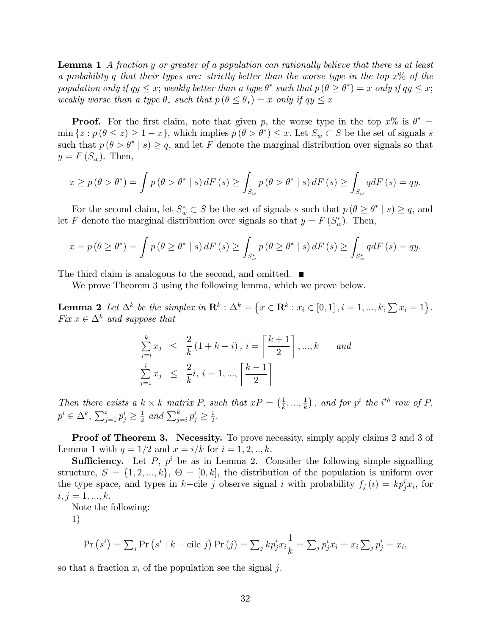Lemma 1 A fraction y or greater of a population can rationally believe that there is at least a probability q that their types are: strictly better than the worse type in the top  $x\%$  of the population only if  $qy \leq x$ ; weakly better than a type  $\theta^*$  such that  $p(\theta \geq \theta^*) = x$  only if  $qy \leq x$ ; weakly worse than a type  $\theta_*$  such that  $p(\theta \le \theta_*) = x$  only if  $qy \le x$ 

**Proof.** For the first claim, note that given p, the worse type in the top  $x\%$  is  $\theta^* =$  $\min\{z : p(\theta \leq z) \geq 1-x\},\$  which implies  $p(\theta > \theta^*) \leq x$ . Let  $S_w \subset S$  be the set of signals s such that  $p(\theta > \theta^* | s) \geq q$ , and let F denote the marginal distribution over signals so that  $y = F(S_w)$ . Then,

$$
x \ge p(\theta > \theta^*) = \int p(\theta > \theta^* \mid s) dF(s) \ge \int_{S_w} p(\theta > \theta^* \mid s) dF(s) \ge \int_{S_w} qdF(s) = qy.
$$

For the second claim, let  $S_w^* \subset S$  be the set of signals s such that  $p(\theta \ge \theta^* | s) \ge q$ , and let F denote the marginal distribution over signals so that  $y = F(S_w^*)$ . Then,

$$
x = p(\theta \ge \theta^*) = \int p(\theta \ge \theta^* \mid s) dF(s) \ge \int_{S_w^*} p(\theta \ge \theta^* \mid s) dF(s) \ge \int_{S_w^*} q dF(s) = qy.
$$

The third claim is analogous to the second, and omitted.

We prove Theorem 3 using the following lemma, which we prove below.

**Lemma 2** Let  $\Delta^k$  be the simplex in  $\mathbb{R}^k$ :  $\Delta^k = \{x \in \mathbb{R}^k : x_i \in [0,1], i = 1, ..., k, \sum x_i = 1\}$ . Fix  $x \in \Delta^k$  and suppose that

$$
\sum_{j=i}^{k} x_j \leq \frac{2}{k} (1 + k - i), i = \left\lceil \frac{k+1}{2} \right\rceil, ..., k \text{ and}
$$
  

$$
\sum_{j=1}^{i} x_j \leq \frac{2}{k}i, i = 1, ..., \left\lceil \frac{k-1}{2} \right\rceil
$$

Then there exists a  $k \times k$  matrix P, such that  $xP = \left(\frac{1}{k}\right)$  $\frac{1}{k},...,\frac{1}{k}$  $\frac{1}{k}$ ), and for  $p^i$  the i<sup>th</sup> row of P,  $p^i \in \Delta^k$ ,  $\sum_{j=1}^i p_j^i \ge \frac{1}{2}$  $\frac{1}{2}$  and  $\sum_{j=i}^{k} p_j^i \geq \frac{1}{2}$  $rac{1}{2}$ .

**Proof of Theorem 3. Necessity.** To prove necessity, simply apply claims 2 and 3 of Lemma 1 with  $q = 1/2$  and  $x = i/k$  for  $i = 1, 2, ..., k$ .

**Sufficiency.** Let P,  $p^i$  be as in Lemma 2. Consider the following simple signalling structure,  $S = \{1, 2, ..., k\}, \Theta = [0, k]$ , the distribution of the population is uniform over the type space, and types in k-cile j observe signal i with probability  $f_j(i) = kp_j^i x_i$ , for  $i, j = 1, ..., k.$ 

Note the following:

1)

$$
\Pr\left(s^{i}\right) = \sum_{j} \Pr\left(s^{i} \mid k - \text{cile } j\right) \Pr\left(j\right) = \sum_{j} k p_{j}^{i} x_{i} \frac{1}{k} = \sum_{j} p_{j}^{i} x_{i} = x_{i} \sum_{j} p_{j}^{i} = x_{i},
$$

so that a fraction  $x_i$  of the population see the signal j.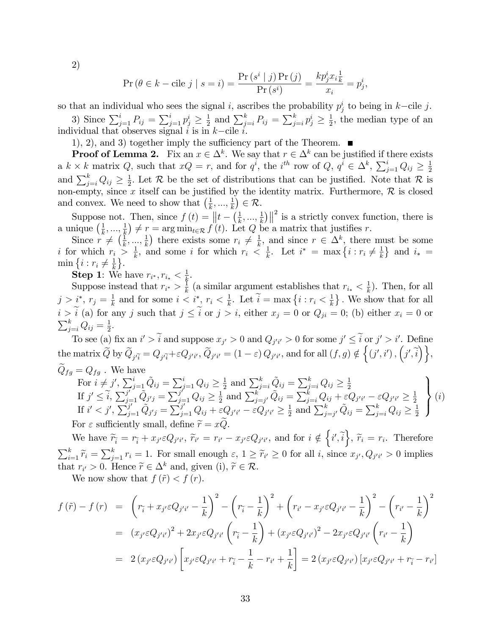2)

$$
\Pr\left(\theta \in k - \text{cile } j \mid s = i\right) = \frac{\Pr\left(s^i \mid j\right) \Pr\left(j\right)}{\Pr\left(s^i\right)} = \frac{kp_j^i x_i \frac{1}{k}}{x_i} = p_j^i,
$$

so that an individual who sees the signal *i*, ascribes the probability  $p_j^i$  to being in *k*-cile *j*. 3) Since  $\sum_{j=1}^{i} P_{ij} = \sum_{j=1}^{i} p_j^i \ge \frac{1}{2}$  $\frac{1}{2}$  and  $\sum_{j=i}^{k} P_{ij} = \sum_{j=i}^{k} p_j^i \ge \frac{1}{2}$  $\frac{1}{2}$ , the median type of an individual that observes signal  $i$  is in  $k$ -cile  $i$ .

1), 2), and 3) together imply the sufficiency part of the Theorem.  $\blacksquare$ 

**Proof of Lemma 2.** Fix an  $x \in \Delta^k$ . We say that  $r \in \Delta^k$  can be justified if there exists a  $k \times k$  matrix Q, such that  $xQ = r$ , and for  $q^i$ , the i<sup>th</sup> row of Q,  $q^i \in \Delta^k$ ,  $\sum_{j=1}^i Q_{ij} \ge \frac{1}{2}$ 2 and  $\sum_{j=i}^{k} Q_{ij} \geq \frac{1}{2}$  $\frac{1}{2}$ . Let  $\mathcal{R}$  be the set of distributions that can be justified. Note that  $\mathcal{R}$  is non-empty, since x itself can be justified by the identity matrix. Furthermore,  $\mathcal R$  is closed and convex. We need to show that  $(\frac{1}{k}, ..., \frac{1}{k}) \in \mathcal{R}$ .  $k$ ,  $\ldots$ ,  $k$ 

Suppose not. Then, since  $f(t) = ||t - \left(\frac{1}{k}\right)$  $\frac{1}{k},...,\frac{1}{k}$  $\frac{1}{k}$ ||<sup>2</sup> is a strictly convex function, there is a unique  $\left(\frac{1}{k}\right)$  $\frac{1}{k},...,\frac{1}{k}$  $(\frac{1}{k}) \neq r = \arg \min_{t \in \mathcal{R}} f'(t)$ . Let Q be a matrix that justifies r.

Since  $r \neq \left(\frac{1}{k}\right)$  $\frac{1}{k},...,\frac{1}{k}$  $(\frac{1}{k})$  there exists some  $r_i \neq \frac{1}{k}$  $\frac{1}{k}$ , and since  $r \in \Delta^k$ , there must be some i for which  $r_i > \frac{1}{k}$  $\frac{1}{k}$ , and some *i* for which  $r_i \leq \frac{1}{k}$  $\frac{1}{k}$ . Let  $i^* = \max\left\{i : r_i \neq \frac{1}{k}\right\}$  $\frac{1}{k}$  and  $i_*$  =  $\min\left\{i : r_i \neq \frac{1}{k}\right\}$  $\frac{1}{k}$ .

Step 1: We have  $r_{i^*}, r_{i_*} < \frac{1}{k}$  $\frac{1}{k}$  .

Suppose instead that  $r_{i^*} > \frac{1}{k}$  $\frac{1}{k}$  (a similar argument establishes that  $r_{i_*} < \frac{1}{k}$  $\frac{1}{k}$ ). Then, for all  $j > i^*, r_j = \frac{1}{k}$  $\frac{1}{k}$  and for some  $i < i^*, r_i < \frac{1}{k}$  $\frac{1}{k}$ . Let  $\widetilde{i} = \max\left\{i : r_i < \frac{1}{k}\right\}$  $\frac{1}{k}$ . We show that for all  $i > \tilde{i}$  (a) for any j such that  $j \leq \tilde{i}$  or  $j > i$ , either  $x_j = 0$  or  $Q_{ji} = 0$ ; (b) either  $x_i = 0$  or  $\sum_{j=i}^k Q_{ij} = \frac{1}{2}$  $\frac{1}{2}$ .

To see (a) fix an  $i' > i$  and suppose  $x_{j'} > 0$  and  $Q_{j'i'} > 0$  for some  $j' \leq i$  or  $j' > i'$ . Define  $\text{the matrix } \widetilde{Q} \text{ by } \widetilde{Q}_{j\widetilde{q}} = Q_{j\widetilde{q}} + \varepsilon Q_{j'i'}, \widetilde{Q}_{j'i'} = (1-\varepsilon) \, Q_{j'i'}, \text{and for all } (f,g) \notin \Big\{ (j',i') \, , \Big(j',\widetilde{i}\Big) \Big\},$  $Q_{fg} = Q_{fg}$ . We have  $\mathbf{v}$ 

For 
$$
i \neq j'
$$
,  $\sum_{j=1}^{i} \tilde{Q}_{ij} = \sum_{j=1}^{i} Q_{ij} \ge \frac{1}{2}$  and  $\sum_{j=i}^{k} \tilde{Q}_{ij} = \sum_{j=i}^{k} Q_{ij} \ge \frac{1}{2}$   
\nIf  $j' \le \tilde{i}$ ,  $\sum_{j=1}^{j'} \tilde{Q}_{j'j} = \sum_{j=1}^{j} Q_{ij} \ge \frac{1}{2}$  and  $\sum_{j=j'}^{k} \tilde{Q}_{ij} = \sum_{j=i}^{k} Q_{ij} + \varepsilon Q_{j'i'} - \varepsilon Q_{j'i'} \ge \frac{1}{2}$   
\nIf  $i' < j'$ ,  $\sum_{j=1}^{j'} \tilde{Q}_{j'j} = \sum_{j=1}^{j'} Q_{ij} + \varepsilon Q_{j'i'} - \varepsilon Q_{j'i'} \ge \frac{1}{2}$  and  $\sum_{j=j'}^{k} \tilde{Q}_{ij} = \sum_{j=i}^{k} Q_{ij} \ge \frac{1}{2}$   
\nFor  $\varepsilon$  sufficiently small, define  $\tilde{r} = x\tilde{Q}$ .

We have  $\widetilde{r}_{\widetilde{i}} = r_{\widetilde{i}} + x_{j'}\varepsilon Q_{j'i'}, \ \widetilde{r}_{i'} = r_{i'} - x_{j'}\varepsilon Q_{j'i'},$  and for  $i \notin \left\{i', \widetilde{i}\right\}, \ \widetilde{r}_{i} = r_{i}.$  Therefore  $\sum_{i=1}^{k} \widetilde{r}_i = \sum_{j=1}^{k} r_i = 1$ . For small enough  $\varepsilon, 1 \geq \widetilde{r}_{i'} \geq 0$  for all *i*, since  $x_{j'}, Q_{j'i'} > 0$  implies that  $r_{i'} > 0$ . Hence  $\widetilde{r} \in \Delta^k$  and, given (i),  $\widetilde{r} \in \mathcal{R}$ .

We now show that  $f(\tilde{r}) < f(r)$ .

$$
f(\tilde{r}) - f(r) = \left(r_{\tilde{i}} + x_{j'}\varepsilon Q_{j'i'} - \frac{1}{k}\right)^2 - \left(r_{\tilde{i}} - \frac{1}{k}\right)^2 + \left(r_{i'} - x_{j'}\varepsilon Q_{j'i'} - \frac{1}{k}\right)^2 - \left(r_{i'} - \frac{1}{k}\right)^2
$$
  

$$
= (x_{j'}\varepsilon Q_{j'i'})^2 + 2x_{j'}\varepsilon Q_{j'i'}\left(r_{\tilde{i}} - \frac{1}{k}\right) + (x_{j'}\varepsilon Q_{j'i'})^2 - 2x_{j'}\varepsilon Q_{j'i'}\left(r_{i'} - \frac{1}{k}\right)
$$
  

$$
= 2(x_{j'}\varepsilon Q_{j'i'})\left[x_{j'}\varepsilon Q_{j'i'} + r_{\tilde{i}} - \frac{1}{k} - r_{i'} + \frac{1}{k}\right] = 2(x_{j'}\varepsilon Q_{j'i'})\left[x_{j'}\varepsilon Q_{j'i'} + r_{\tilde{i}} - r_{i'}\right]
$$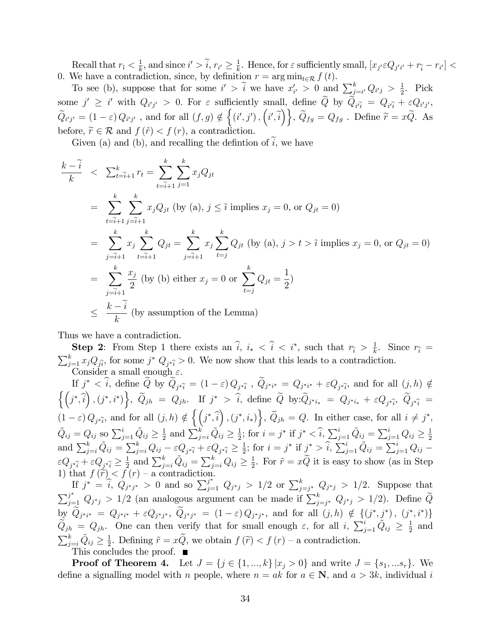Recall that  $r_{\tilde{i}} < \frac{1}{k}$  $\frac{1}{k}$ , and since  $i' > \tilde{i}$ ,  $r_{i'} \geq \frac{1}{k}$  $\frac{1}{k}$ . Hence, for  $\varepsilon$  sufficiently small,  $[x_{j'} \varepsilon Q_{j'i'} + r_{\tilde{i}} - r_{i'}] <$ 0. We have a contradiction, since, by definition  $r = \arg \min_{t \in \mathcal{R}} f(t)$ .

To see (b), suppose that for some  $i' > \tilde{i}$  we have  $x_i'$  $Q'_{i'} > 0$  and  $\sum_{j=i'}^{k} Q_{i'j} > \frac{1}{2}$  $\frac{1}{2}$ . Pick some  $j' \geq i'$  with  $Q_{i'j'} > 0$ . For  $\varepsilon$  sufficiently small, define  $\widetilde{Q}$  by  $\widetilde{Q}_{i'}\widetilde{q} = Q_{i'}\widetilde{q} + \varepsilon Q_{i'j'}$ ,  $\widetilde{Q}_{i'j'} = (1 - \varepsilon) Q_{i'j'}$ , and for all  $(f, g) \notin \{(i', j'), (i', \tilde{i})\}, \widetilde{Q}_{fg} = Q_{fg}$ . Define  $\widetilde{r} = x\widetilde{Q}$ . As before,  $\widetilde{r} \in \mathcal{R}$  and  $f(\widetilde{r}) < f(r)$ , a contradiction.

Given (a) and (b), and recalling the defintion of  $i$ , we have

$$
\frac{k-\tilde{i}}{k} < \sum_{t=\tilde{i}+1}^{k} r_t = \sum_{t=\tilde{i}+1}^{k} \sum_{j=1}^{k} x_j Q_{jt}
$$
\n
$$
= \sum_{t=\tilde{i}+1}^{k} \sum_{j=\tilde{i}+1}^{k} x_j Q_{jt} \text{ (by (a), } j \leq \tilde{i} \text{ implies } x_j = 0, \text{ or } Q_{jt} = 0)
$$
\n
$$
= \sum_{j=\tilde{i}+1}^{k} x_j \sum_{t=\tilde{i}+1}^{k} Q_{jt} = \sum_{j=\tilde{i}+1}^{k} x_j \sum_{t=j}^{k} Q_{jt} \text{ (by (a), } j > t > \tilde{i} \text{ implies } x_j = 0, \text{ or } Q_{jt} = 0)
$$
\n
$$
= \sum_{j=\tilde{i}+1}^{k} \frac{x_j}{2} \text{ (by (b) either } x_j = 0 \text{ or } \sum_{t=j}^{k} Q_{jt} = \frac{1}{2})
$$
\n
$$
\leq \frac{k-\tilde{i}}{k} \text{ (by assumption of the Lemma)}
$$

Thus we have a contradiction.

**Step 2:** From Step 1 there exists an  $\hat{i}$ ,  $i_* < \hat{i} < i^*$ , such that  $r_{\hat{i}} > \frac{1}{k}$ **Step 2**: From Step 1 there exists an  $i, i_* < i < i^*$ , such that  $r_{\hat{i}} > \frac{1}{k}$ . Since  $r_{\hat{i}} = \sum_{i=1}^k x_i Q_{\hat{i}}$ , for some  $i^* Q_{\hat{i}} > 0$ . We now show that this leads to a contradiction.  $_{j=1}^{k} x_j Q_{\hat{j}}$ ; for some  $j^* Q_{j^* \hat{i}} > 0$ . We now show that this leads to a contradiction. Consider a small enough  $\varepsilon$ .

If  $j^* < \hat{i}$ , define  $\widetilde{Q}$  by  $\widetilde{Q}_{j^*\hat{i}} = (1 - \varepsilon) Q_{j^*\hat{i}}$ ,  $\widetilde{Q}_{j^*i^*} = Q_{j^*i^*} + \varepsilon Q_{j^*\hat{i}}$ , and for all  $(j, h) \notin$  $\left\{\left(j^*,\hat{i}\right),\left(j^*,i^*\right)\right\},\ \widetilde{Q}_{jh}\ =\ Q_{jh}. \quad \text{If}\ \ j^*\ >\ \hat{i},\ \text{define}\ \ \widetilde{Q}\ \ \text{by:}\ \widetilde{Q}_{j^*i_*}\ =\ Q_{j^*i_*} \ +\ \varepsilon Q_{j^*\hat{i}},\ \ \widetilde{Q}_{j^*\hat{i}}\ =\ \widetilde{Q}_{j^*\hat{i}_*}\ \ \widetilde{Q}_{j^*\hat{i}_*}\ =\ \widetilde{Q}_{j^*\hat{i}_*}\ \ \widetilde{Q}_{j^*\hat{i}_*}\ =\ \widetilde{Q}_{j^*\hat{i}_*}\ \ \$  $(1-\varepsilon) Q_{j\hat{i}},$  and for all  $(j,h) \notin \left\{ (j^*, \hat{i}) , (j^*, i_*) \right\}, \widetilde{Q}_{jh} = Q.$  In either case, for all  $i \neq j^*,$  $\tilde{Q}_{ij} = Q_{ij}$  so  $\sum_{j=1}^{i} \tilde{Q}_{ij} \ge \frac{1}{2}$  $\frac{1}{2}$  and  $\sum_{j=i}^{k} \tilde{Q}_{ij} \ge \frac{1}{2}$  $\frac{1}{2}$ ; for  $i = j^*$  if  $j^* < \hat{i}$ ,  $\sum_{j=1}^i \tilde{Q}_{ij} = \sum_{j=1}^i Q_{ij} \ge \frac{1}{2}$ and  $\sum_{j=i}^{k} \tilde{Q}_{ij} = \sum_{j=i}^{k} Q_{ij} - \varepsilon Q_{j} \hat{\varepsilon}_{i} + \varepsilon Q_{j} \hat{\varepsilon}_{i} \geq \frac{1}{2}$ ; for  $i = j^*$  if  $j^* > \hat{i}$ ,  $\sum_{j=1}^{i} \tilde{Q}_{ij} = \sum_{j=1}^{i} Q_{ij} - \varepsilon Q_{j} \hat{\varepsilon}_{i}$  $\frac{1}{2}$ ; for  $i = j^*$  if  $j^* > \hat{i}$ ,  $\sum_{j=1}^i \tilde{Q}_{ij} = \sum_{j=1}^i Q_{ij}$  $\varepsilon Q_{j^*\widehat{i}}+\varepsilon Q_{j^*\widehat{i}}\geq \frac{1}{2}$  $\frac{1}{2}$  and  $\sum_{j=i}^{k} \tilde{Q}_{ij} = \sum_{j=i}^{k} Q_{ij} \ge \frac{1}{2}$  $\frac{1}{2}$ . For  $\tilde{r} = xQ$  it is easy to show (as in Step 1) that  $f(\widetilde{r}) < f(r)$  – a contradiction.

If  $j^* = \hat{i}$ ,  $Q_{j^*j^*} > 0$  and so  $\sum_{j=1}^{j^*} Q_{j^*j} > 1/2$  or  $\sum_{j=j^*}^k Q_{j^*j} > 1/2$ . Suppose that  $\sum_{j=1}^{j^*} Q_{j^*j} > 1/2$  (an analogous argument can be made if  $\sum_{j=j^*}^k Q_{j^*j} > 1/2$ ). Define  $\widetilde{Q}$  $\lim_{n \to \infty} \widetilde{Q}_{j^*i^*} \; = \; Q_{j^*i^*} + \, \varepsilon Q_{j^*j^*}, \; \widetilde{Q}_{j^*j^*} \; = \; (1-\varepsilon) \, Q_{j^*j^*}, \; \text{and for all} \; (j,h) \; \notin \; \{(j^*,j^*), \; (j^*,i^*)\}$  $\widetilde{Q}_{jh} = Q_{jh}$ . One can then verify that for small enough  $\varepsilon$ , for all  $i$ ,  $\sum_{j=1}^{i} \widetilde{Q}_{ij} \geq \frac{1}{2}$  $rac{1}{2}$  and  $\sum_{j=i}^k \tilde{Q}_{ij} \geq \frac{1}{2}$  $\frac{1}{2}$ . Defining  $\tilde{r} = xQ$ , we obtain  $f(\tilde{r}) < f(r)$  – a contradiction.

This concludes the proof.

**Proof of Theorem 4.** Let  $J = \{j \in \{1, ..., k\} | x_j > 0\}$  and write  $J = \{s_1, ... s_r\}$ . We define a signalling model with n people, where  $n = ak$  for  $a \in \mathbb{N}$ , and  $a > 3k$ , individual i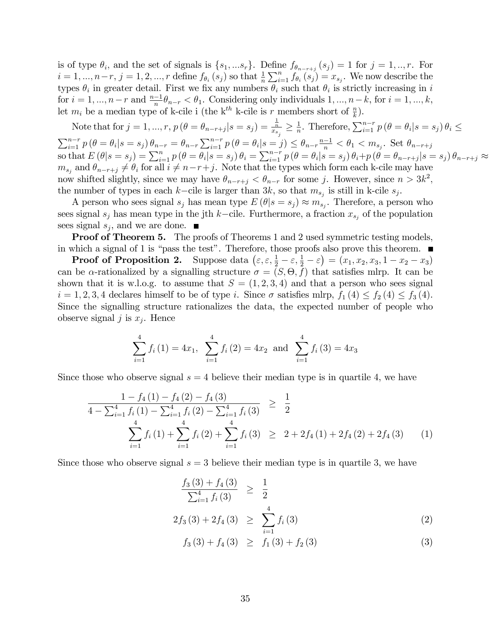is of type  $\theta_i$ , and the set of signals is  $\{s_1, ..., s_r\}$ . Define  $f_{\theta_{n-r+j}}(s_j) = 1$  for  $j = 1, ..., r$ . For  $i = 1, ..., n-r, j = 1, 2, ..., r$  define  $f_{\theta_i}(s_j)$  so that  $\frac{1}{n} \sum_{i=1}^n f_{\theta_i}(s_j) = x_{s_j}$ . We now describe the types  $\theta_i$  in greater detail. First we fix any numbers  $\theta_i$  such that  $\theta_i$  is strictly increasing in i for  $i = 1, ..., n-r$  and  $\frac{n-1}{n}\theta_{n-r} < \theta_1$ . Considering only individuals  $1, ..., n-k$ , for  $i = 1, ..., k$ , let  $m_i$  be a median type of k-cile i (the k<sup>th</sup> k-cile is r members short of  $\frac{n}{k}$ ).

Note that for  $j = 1, ..., r$ ,  $p(\theta = \theta_{n-r+j}|s = s_j) = \frac{\frac{1}{n}}{x_{s_i}} \ge \frac{1}{n}$  $\sum_{i=1}^{n-r} p(\theta = \theta_i | s = s_j) \theta_{n-r} = \theta_{n-r} \sum_{i=1}^{n-r} p(\theta = \theta_i | s = j) \leq \theta_{n-r} \frac{n-1}{n} < \theta_1 < m_{s_j}$ . Set  $\theta_{n-r+j}$  $\frac{1}{n}$ . Therefore,  $\sum_{i=1}^{n-r} p(\theta = \theta_i | s = s_j) \theta_i \leq$ so that  $E(\theta|s=s_j) = \sum_{i=1}^n p(\theta = \theta_i|s=s_j) \theta_i = \sum_{i=1}^{n-r} p(\theta = \theta_i|s=s_j) \theta_i + p(\theta = \theta_{n-r+j}|s=s_j) \theta_{n-r+j} \approx$  $m_{s_j}$  and  $\theta_{n-r+j} \neq \theta_i$  for all  $i \neq n-r+j$ . Note that the types which form each k-cile may have now shifted slightly, since we may have  $\theta_{n-r+j} < \theta_{n-r}$  for some j. However, since  $n > 3k^2$ , the number of types in each k-cile is larger than  $3k$ , so that  $m_{s_j}$  is still in k-cile  $s_j$ .

A person who sees signal  $s_j$  has mean type  $E(\theta|s=s_j) \approx m_{s_j}$ . Therefore, a person who sees signal  $s_j$  has mean type in the jth k-cile. Furthermore, a fraction  $x_{s_j}$  of the population sees signal  $s_j$ , and we are done.

**Proof of Theorem 5.** The proofs of Theorems 1 and 2 used symmetric testing models, in which a signal of 1 is "pass the test". Therefore, those proofs also prove this theorem.  $\blacksquare$ 

**Proof of Proposition 2.** Suppose data  $(\varepsilon, \varepsilon, \frac{1}{2} - \varepsilon, \frac{1}{2} - \varepsilon) = (x_1, x_2, x_3, 1 - x_2 - x_3)$ can be  $\alpha$ -rationalized by a signalling structure  $\sigma = (S, \Theta, f)$  that satisfies mlrp. It can be shown that it is w.l.o.g. to assume that  $S = (1, 2, 3, 4)$  and that a person who sees signal  $i = 1, 2, 3, 4$  declares himself to be of type i. Since  $\sigma$  satisfies mlrp,  $f_1 (4) \le f_2 (4) \le f_3 (4)$ . Since the signalling structure rationalizes the data, the expected number of people who observe signal  $j$  is  $x_j$ . Hence

$$
\sum_{i=1}^{4} f_i(1) = 4x_1, \sum_{i=1}^{4} f_i(2) = 4x_2 \text{ and } \sum_{i=1}^{4} f_i(3) = 4x_3
$$

Since those who observe signal  $s = 4$  believe their median type is in quartile 4, we have

$$
\frac{1 - f_4(1) - f_4(2) - f_4(3)}{4 - \sum_{i=1}^4 f_i(1) - \sum_{i=1}^4 f_i(2) - \sum_{i=1}^4 f_i(3)} \ge \frac{1}{2}
$$
\n
$$
\sum_{i=1}^4 f_i(1) + \sum_{i=1}^4 f_i(2) + \sum_{i=1}^4 f_i(3) \ge 2 + 2f_4(1) + 2f_4(2) + 2f_4(3) \tag{1}
$$

Since those who observe signal  $s = 3$  believe their median type is in quartile 3, we have

$$
\frac{f_3(3) + f_4(3)}{\sum_{i=1}^4 f_i(3)} \ge \frac{1}{2}
$$
  
2f\_3(3) + 2f\_4(3)  $\ge \sum_{i=1}^4 f_i(3)$  (2)

$$
f_3(3) + f_4(3) \geq f_1(3) + f_2(3) \tag{3}
$$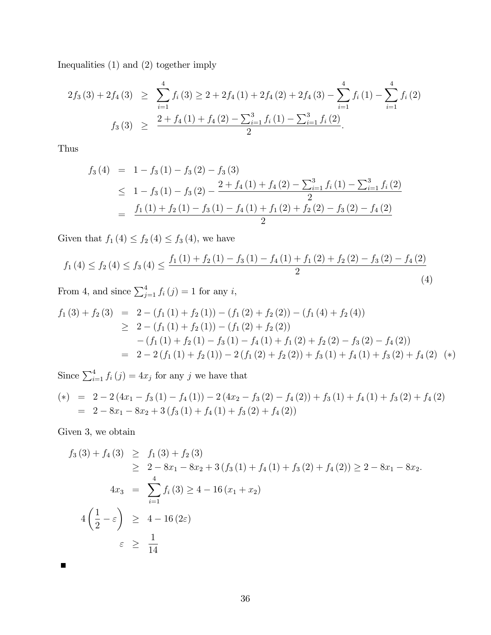Inequalities (1) and (2) together imply

$$
2f_3(3) + 2f_4(3) \geq \sum_{i=1}^4 f_i(3) \geq 2 + 2f_4(1) + 2f_4(2) + 2f_4(3) - \sum_{i=1}^4 f_i(1) - \sum_{i=1}^4 f_i(2)
$$
  

$$
f_3(3) \geq \frac{2 + f_4(1) + f_4(2) - \sum_{i=1}^3 f_i(1) - \sum_{i=1}^3 f_i(2)}{2}.
$$

Thus

$$
f_3(4) = 1 - f_3(1) - f_3(2) - f_3(3)
$$
  
\n
$$
\leq 1 - f_3(1) - f_3(2) - \frac{2 + f_4(1) + f_4(2) - \sum_{i=1}^3 f_i(1) - \sum_{i=1}^3 f_i(2)}{2}
$$
  
\n
$$
= \frac{f_1(1) + f_2(1) - f_3(1) - f_4(1) + f_1(2) + f_2(2) - f_3(2) - f_4(2)}{2}
$$

Given that  $f_1 (4) \le f_2 (4) \le f_3 (4)$ , we have

$$
f_1(4) \le f_2(4) \le f_3(4) \le \frac{f_1(1) + f_2(1) - f_3(1) - f_4(1) + f_1(2) + f_2(2) - f_3(2) - f_4(2)}{2} \tag{4}
$$

From 4, and since  $\sum_{j=1}^{4} f_i(j) = 1$  for any *i*,

$$
f_1(3) + f_2(3) = 2 - (f_1(1) + f_2(1)) - (f_1(2) + f_2(2)) - (f_1(4) + f_2(4))
$$
  
\n
$$
\geq 2 - (f_1(1) + f_2(1)) - (f_1(2) + f_2(2))
$$
  
\n
$$
- (f_1(1) + f_2(1) - f_3(1) - f_4(1) + f_1(2) + f_2(2) - f_3(2) - f_4(2))
$$
  
\n
$$
= 2 - 2(f_1(1) + f_2(1)) - 2(f_1(2) + f_2(2)) + f_3(1) + f_4(1) + f_3(2) + f_4(2)
$$
 (\*)

Since  $\sum_{i=1}^{4} f_i(j) = 4x_j$  for any j we have that

$$
(*) = 2 - 2(4x1 - f3(1) - f4(1)) - 2(4x2 - f3(2) - f4(2)) + f3(1) + f4(1) + f3(2) + f4(2)
$$
  
= 2 - 8x<sub>1</sub> - 8x<sub>2</sub> + 3(f<sub>3</sub>(1) + f<sub>4</sub>(1) + f<sub>3</sub>(2) + f<sub>4</sub>(2))

Given 3, we obtain

$$
f_3(3) + f_4(3) \ge f_1(3) + f_2(3)
$$
  
\n
$$
\ge 2 - 8x_1 - 8x_2 + 3(f_3(1) + f_4(1) + f_3(2) + f_4(2)) \ge 2 - 8x_1 - 8x_2.
$$
  
\n
$$
4x_3 = \sum_{i=1}^4 f_i(3) \ge 4 - 16(x_1 + x_2)
$$
  
\n
$$
4\left(\frac{1}{2} - \varepsilon\right) \ge 4 - 16(2\varepsilon)
$$
  
\n
$$
\varepsilon \ge \frac{1}{14}
$$

 $\blacksquare$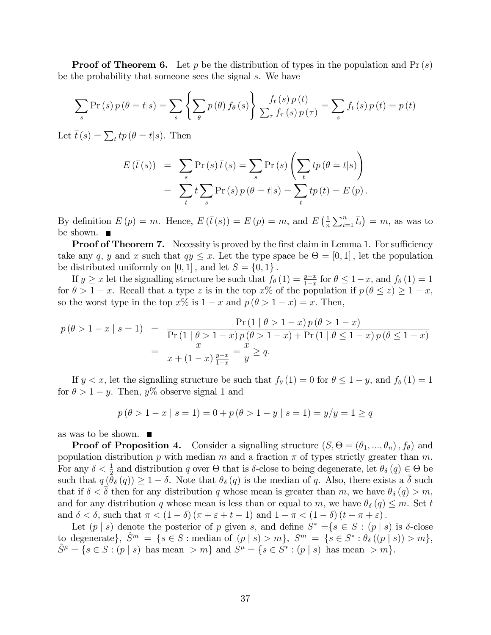**Proof of Theorem 6.** Let p be the distribution of types in the population and  $Pr(s)$ be the probability that someone sees the signal s. We have

$$
\sum_{s} \Pr(s) p(\theta = t | s) = \sum_{s} \left\{ \sum_{\theta} p(\theta) f_{\theta}(s) \right\} \frac{f_{t}(s) p(t)}{\sum_{\tau} f_{\tau}(s) p(\tau)} = \sum_{s} f_{t}(s) p(t) = p(t)
$$

Let  $\bar{t}(s) = \sum_t tp(\theta = t|s)$ . Then

$$
E(\bar{t}(s)) = \sum_{s} \Pr(s) \bar{t}(s) = \sum_{s} \Pr(s) \left( \sum_{t} tp(\theta = t|s) \right)
$$
  
= 
$$
\sum_{t} t \sum_{s} \Pr(s) p(\theta = t|s) = \sum_{t} tp(t) = E(p).
$$

By definition  $E(p) = m$ . Hence,  $E(\bar{t}(s)) = E(p) = m$ , and  $E(\frac{1}{n})$  $\frac{1}{n}\sum_{i=1}^{n} \bar{t}_i$  = m, as was to be shown. ■

**Proof of Theorem 7.** Necessity is proved by the first claim in Lemma 1. For sufficiency take any q, y and x such that  $qy \leq x$ . Let the type space be  $\Theta = [0, 1]$ , let the population be distributed uniformly on  $[0, 1]$ , and let  $S = \{0, 1\}$ .

If  $y \ge x$  let the signalling structure be such that  $f_{\theta}(1) = \frac{y-x}{1-x}$  for  $\theta \le 1-x$ , and  $f_{\theta}(1) = 1$ for  $\theta > 1 - x$ . Recall that a type z is in the top  $x\%$  of the population if  $p(\theta \leq z) \geq 1 - x$ , so the worst type in the top  $x\%$  is  $1 - x$  and  $p(\theta > 1 - x) = x$ . Then,

$$
p(\theta > 1 - x | s = 1) = \frac{\Pr(1 | \theta > 1 - x) p(\theta > 1 - x)}{\Pr(1 | \theta > 1 - x) p(\theta > 1 - x) + \Pr(1 | \theta \le 1 - x) p(\theta \le 1 - x)}
$$
  
= 
$$
\frac{x}{x + (1 - x) \frac{y - x}{1 - x}} = \frac{x}{y} \ge q.
$$

If  $y < x$ , let the signalling structure be such that  $f_{\theta}(1) = 0$  for  $\theta \leq 1 - y$ , and  $f_{\theta}(1) = 1$ for  $\theta > 1 - y$ . Then,  $y\%$  observe signal 1 and

$$
p(\theta > 1 - x \mid s = 1) = 0 + p(\theta > 1 - y \mid s = 1) = y/y = 1 \ge q
$$

as was to be shown.

**Proof of Proposition 4.** Consider a signalling structure  $(S, \Theta = (\theta_1, ..., \theta_n), f_{\theta})$  and population distribution p with median m and a fraction  $\pi$  of types strictly greater than m. For any  $\delta < \frac{1}{2}$  and distribution q over  $\Theta$  that is  $\delta$ -close to being degenerate, let  $\theta_{\delta}(q) \in \Theta$  be such that  $q(\theta_\delta(q)) \geq 1 - \delta$ . Note that  $\theta_\delta(q)$  is the median of q. Also, there exists a  $\overline{\delta}$  such that if  $\delta < \delta$  then for any distribution q whose mean is greater than m, we have  $\theta_{\delta}(q) > m$ , and for any distribution q whose mean is less than or equal to m, we have  $\theta_{\delta}(q) \leq m$ . Set t and  $\delta < \overline{\delta}$ , such that  $\pi < (1 - \delta) (\pi + \varepsilon + t - 1)$  and  $1 - \pi < (1 - \delta) (t - \pi + \varepsilon)$ .

Let  $(p \mid s)$  denote the posterior of p given s, and define  $S^* = \{s \in S : (p \mid s) \text{ is } \delta\text{-close}$ to degenerate),  $\hat{S}^m = \{s \in S : \text{median of } (p \mid s) > m\}, S^m = \{s \in S^* : \theta_{\delta}((p \mid s)) > m\},\$  $\hat{S}^{\mu} = \{ s \in S : (p \mid s) \text{ has mean } > m \}$  and  $S^{\mu} = \{ s \in S^* : (p \mid s) \text{ has mean } > m \}.$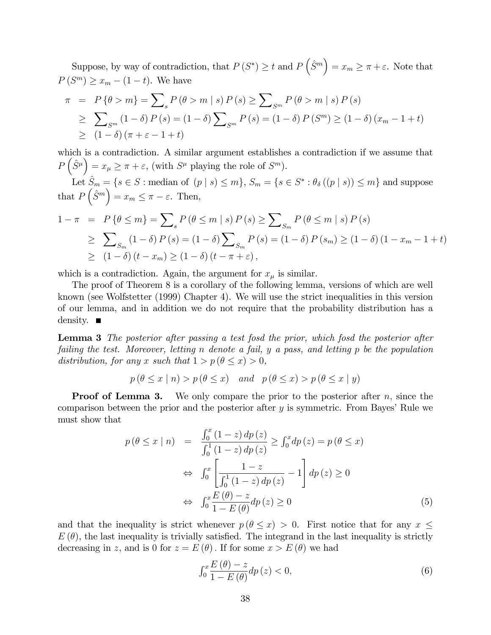Suppose, by way of contradiction, that  $P(S^*) \ge t$  and  $P(\hat{S}^m) = x_m \ge \pi + \varepsilon$ . Note that  $P(S^m) \ge x_m - (1 - t)$ . We have

$$
\pi = P\{\theta > m\} = \sum_{s} P(\theta > m \mid s) P(s) \ge \sum_{s} P(\theta > m \mid s) P(s)
$$
  
\n
$$
\ge \sum_{s} (1 - \delta) P(s) = (1 - \delta) \sum_{s} P(s) = (1 - \delta) P(s) \ge (1 - \delta) (x_m - 1 + t)
$$
  
\n
$$
\ge (1 - \delta) (\pi + \varepsilon - 1 + t)
$$

which is a contradiction. A similar argument establishes a contradiction if we assume that  $P\left(\hat{S}^{\mu}\right) = x_{\mu} \geq \pi + \varepsilon$ , (with  $S^{\mu}$  playing the role of  $S^{m}$ ).

Let  $\hat{S}_m = \{s \in S : \text{median of } (p \mid s) \le m\}, S_m = \{s \in S^* : \theta_\delta((p \mid s)) \le m\}$  and suppose that  $P\left(\hat{S}^m\right) = x_m \leq \pi - \varepsilon$ . Then,

$$
1 - \pi = P \{ \theta \le m \} = \sum_{s} P(\theta \le m \mid s) P(s) \ge \sum_{s_m} P(\theta \le m \mid s) P(s)
$$
  
\n
$$
\ge \sum_{s_m} (1 - \delta) P(s) = (1 - \delta) \sum_{s_m} P(s) = (1 - \delta) P(s_m) \ge (1 - \delta) (1 - x_m - 1 + t)
$$
  
\n
$$
\ge (1 - \delta) (t - x_m) \ge (1 - \delta) (t - \pi + \varepsilon),
$$

which is a contradiction. Again, the argument for  $x_{\mu}$  is similar.

The proof of Theorem 8 is a corollary of the following lemma, versions of which are well known (see Wolfstetter (1999) Chapter 4). We will use the strict inequalities in this version of our lemma, and in addition we do not require that the probability distribution has a density.  $\blacksquare$ 

Lemma 3 The posterior after passing a test fosd the prior, which fosd the posterior after failing the test. Moreover, letting n denote a fail, y a pass, and letting p be the population distribution, for any x such that  $1 > p(\theta \leq x) > 0$ ,

$$
p(\theta \le x | n) > p(\theta \le x)
$$
 and  $p(\theta \le x) > p(\theta \le x | y)$ 

**Proof of Lemma 3.** We only compare the prior to the posterior after  $n$ , since the comparison between the prior and the posterior after  $y$  is symmetric. From Bayes' Rule we must show that

$$
p(\theta \le x \mid n) = \frac{\int_0^x (1-z) dp(z)}{\int_0^1 (1-z) dp(z)} \ge \int_0^x dp(z) = p(\theta \le x)
$$
  
\n
$$
\Leftrightarrow \int_0^x \left[ \frac{1-z}{\int_0^1 (1-z) dp(z)} - 1 \right] dp(z) \ge 0
$$
  
\n
$$
\Leftrightarrow \int_0^x \frac{E(\theta) - z}{1 - E(\theta)} dp(z) \ge 0
$$
\n(5)

and that the inequality is strict whenever  $p (\theta \leq x) > 0$ . First notice that for any  $x \leq$  $E(\theta)$ , the last inequality is trivially satisfied. The integrand in the last inequality is strictly decreasing in z, and is 0 for  $z = E(\theta)$ . If for some  $x > E(\theta)$  we had

$$
\int_0^x \frac{E(\theta) - z}{1 - E(\theta)} dp(z) < 0,
$$
\n
$$
(6)
$$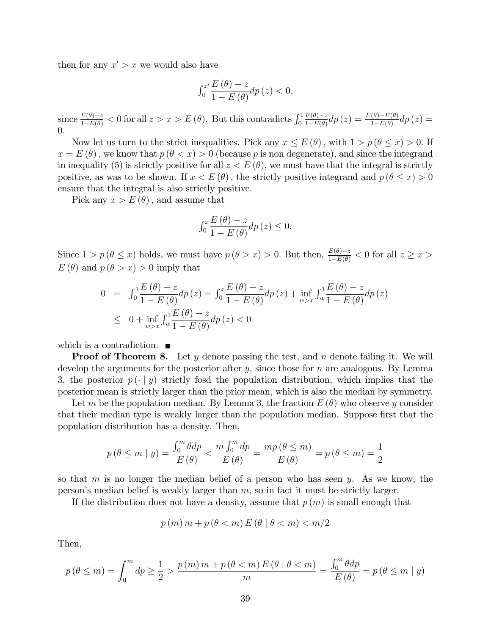then for any  $x' > x$  we would also have

$$
\int_0^{x'} \frac{E(\theta) - z}{1 - E(\theta)} dp(z) < 0,
$$

since  $\frac{E(\theta)-z}{1-E(\theta)} < 0$  for all  $z > x > E(\theta)$ . But this contradicts  $\int_0^1$  $E(\theta)-z$  $\frac{E(\theta)-z}{1-E(\theta)}dp(z)=\frac{E(\theta)-E(\theta)}{1-E(\theta)}dp(z)=$  $\theta$ .

Now let us turn to the strict inequalities. Pick any  $x \le E(\theta)$ , with  $1 > p(\theta \le x) > 0$ . If  $x = E(\theta)$ , we know that  $p(\theta < x) > 0$  (because p is non degenerate), and since the integrand in inequality (5) is strictly positive for all  $z < E(\theta)$ , we must have that the integral is strictly positive, as was to be shown. If  $x < E(\theta)$ , the strictly positive integrand and  $p(\theta \leq x) > 0$ ensure that the integral is also strictly positive.

Pick any  $x > E(\theta)$ , and assume that

$$
\int_0^x \frac{E(\theta) - z}{1 - E(\theta)} dp(z) \le 0.
$$

Since  $1 > p(\theta \leq x)$  holds, we must have  $p(\theta > x) > 0$ . But then,  $\frac{E(\theta) - z}{1 - E(\theta)} < 0$  for all  $z \geq x >$  $E(\theta)$  and  $p(\theta > x) > 0$  imply that

$$
0 = \int_0^1 \frac{E(\theta) - z}{1 - E(\theta)} dp(z) = \int_0^x \frac{E(\theta) - z}{1 - E(\theta)} dp(z) + \inf_{w > x} \int_w^1 \frac{E(\theta) - z}{1 - E(\theta)} dp(z)
$$
  

$$
\leq 0 + \inf_{w > x} \int_w^1 \frac{E(\theta) - z}{1 - E(\theta)} dp(z) < 0
$$

which is a contradiction.  $\blacksquare$ 

**Proof of Theorem 8.** Let y denote passing the test, and n denote failing it. We will develop the arguments for the posterior after  $y$ , since those for  $n$  are analogous. By Lemma 3, the posterior  $p(\cdot | y)$  strictly fosd the population distribution, which implies that the posterior mean is strictly larger than the prior mean, which is also the median by symmetry.

Let m be the population median. By Lemma 3, the fraction  $E(\theta)$  who observe y consider that their median type is weakly larger than the population median. Suppose first that the population distribution has a density. Then,

$$
p(\theta \le m \mid y) = \frac{\int_0^m \theta \, dp}{E(\theta)} < \frac{m \int_0^m \, dp}{E(\theta)} = \frac{mp(\theta \le m)}{E(\theta)} = p(\theta \le m) = \frac{1}{2}
$$

so that  $m$  is no longer the median belief of a person who has seen  $y$ . As we know, the person's median belief is weakly larger than  $m$ , so in fact it must be strictly larger.

If the distribution does not have a density, assume that  $p(m)$  is small enough that

$$
p(m)m + p(\theta < m) \, E(\theta \mid \theta < m) < m/2
$$

Then,

$$
p(\theta \le m) = \int_0^m dp \ge \frac{1}{2} > \frac{p(m)m + p(\theta < m)E(\theta \mid \theta < m)}{m} = \frac{\int_0^m \theta dp}{E(\theta)} = p(\theta \le m \mid y)
$$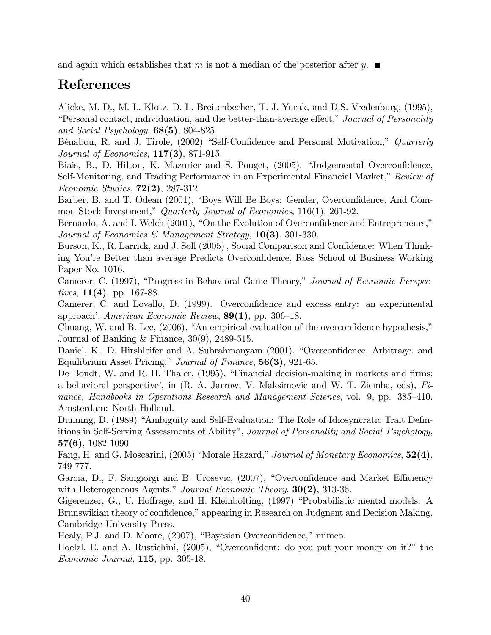and again which establishes that m is not a median of the posterior after y.  $\blacksquare$ 

# References

Alicke, M. D., M. L. Klotz, D. L. Breitenbecher, T. J. Yurak, and D.S. Vredenburg, (1995), *i*Personal contact, individuation, and the better-than-average effect," Journal of Personality and Social Psychology,  $68(5)$ ,  $804-825$ .

Bénabou, R. and J. Tirole, (2002) "Self-Confidence and Personal Motivation," Quarterly Journal of Economics, 117(3), 871-915.

Biais, B., D. Hilton, K. Mazurier and S. Pouget, (2005), "Judgemental Overconfidence, Self-Monitoring, and Trading Performance in an Experimental Financial Market," Review of Economic Studies, 72(2), 287-312.

Barber, B. and T. Odean (2001), "Boys Will Be Boys: Gender, Overconfidence, And Common Stock Investment," Quarterly Journal of Economics, 116(1), 261-92.

Bernardo, A. and I. Welch (2001), "On the Evolution of Overconfidence and Entrepreneurs," Journal of Economics & Management Strategy,  $10(3)$ , 301-330.

Burson, K., R. Larrick, and J. Soll (2005), Social Comparison and Confidence: When Thinking You're Better than average Predicts Overconfidence, Ross School of Business Working Paper No. 1016.

Camerer, C. (1997), "Progress in Behavioral Game Theory," Journal of Economic Perspectives,  $11(4)$ . pp. 167-88.

Camerer, C. and Lovallo, D. (1999). Overconfidence and excess entry: an experimental approach', American Economic Review,  $89(1)$ , pp. 306–18.

Chuang, W. and B. Lee,  $(2006)$ , "An empirical evaluation of the overconfidence hypothesis," Journal of Banking & Finance, 30(9), 2489-515.

Daniel, K., D. Hirshleifer and A. Subrahmanyam (2001), "Overconfidence, Arbitrage, and Equilibrium Asset Pricing," Journal of Finance,  $56(3)$ , 921-65.

De Bondt, W. and R. H. Thaler, (1995), "Financial decision-making in markets and firms: a behavioral perspective', in  $(R, A, Jarrow, V, Maksimovic and W, T. Ziemba, eds), Fi$ nance, Handbooks in Operations Research and Management Science, vol. 9, pp. 385–410. Amsterdam: North Holland.

Dunning, D. (1989) "Ambiguity and Self-Evaluation: The Role of Idiosyncratic Trait Definitions in Self-Serving Assessments of Ability", Journal of Personality and Social Psychology, 57(6), 1082-1090

Fang, H. and G. Moscarini, (2005) "Morale Hazard," Journal of Monetary Economics,  $52(4)$ , 749-777.

Garcia, D., F. Sangiorgi and B. Urosevic, (2007), "Overconfidence and Market Efficiency with Heterogeneous Agents," Journal Economic Theory,  $30(2)$ , 313-36.

Gigerenzer, G., U. Hoffrage, and H. Kleinbolting, (1997) "Probabilistic mental models: A Brunswikian theory of confidence," appearing in Research on Judgnent and Decision Making, Cambridge University Press.

Healy, P.J. and D. Moore,  $(2007)$ , "Bayesian Overconfidence," mimeo.

Hoelzl, E. and A. Rustichini,  $(2005)$ , "Overconfident: do you put your money on it?" the Economic Journal, 115, pp. 305-18.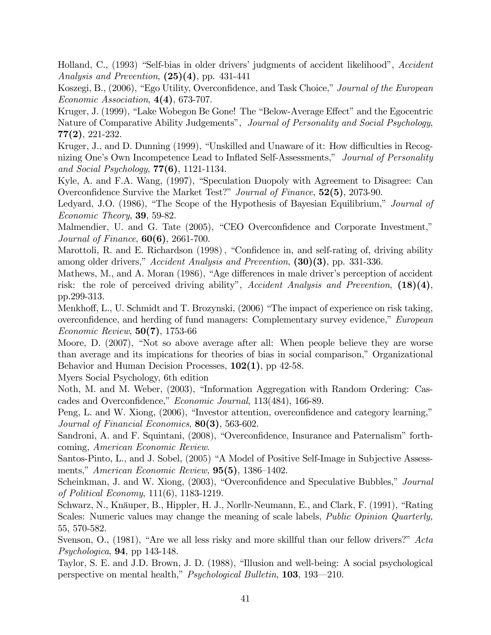Holland, C., (1993) "Self-bias in older drivers' judgments of accident likelihood", Accident Analysis and Prevention,  $(25)(4)$ , pp. 431-441

Koszegi, B., (2006), "Ego Utility, Overconfidence, and Task Choice," Journal of the European Economic Association,  $4(4)$ , 673-707.

Kruger, J. (1999), "Lake Wobegon Be Gone! The "Below-Average Effect" and the Egocentric Nature of Comparative Ability Judgements", Journal of Personality and Social Psychology, 77(2), 221-232.

Kruger, J., and D. Dunning (1999), "Unskilled and Unaware of it: How difficulties in Recognizing One's Own Incompetence Lead to Inflated Self-Assessments," Journal of Personality and Social Psychology,  $77(6)$ , 1121-1134.

Kyle, A. and F.A. Wang, (1997), "Speculation Duopoly with Agreement to Disagree: Can Overconfidence Survive the Market Test?" Journal of Finance,  $52(5)$ , 2073-90.

Ledyard, J.O. (1986), "The Scope of the Hypothesis of Bayesian Equilibrium," Journal of Economic Theory, 39, 59-82.

Malmendier, U. and G. Tate (2005), "CEO Overconfidence and Corporate Investment," Journal of Finance, 60(6), 2661-700.

Marottoli, R. and E. Richardson (1998), "Confidence in, and self-rating of, driving ability among older drivers," Accident Analysis and Prevention,  $(30)(3)$ , pp. 331-336.

Mathews, M., and A. Moran (1986), "Age differences in male driver's perception of accident risk: the role of perceived driving ability", Accident Analysis and Prevention,  $(18)(4)$ , pp.299-313.

Menkhoff, L., U. Schmidt and T. Brozynski, (2006) "The impact of experience on risk taking, overconfidence, and herding of fund managers: Complementary survey evidence," European Economic Review, 50(7), 1753-66

Moore, D. (2007), "Not so above average after all: When people believe they are worse than average and its impications for theories of bias in social comparison," Organizational Behavior and Human Decision Processes,  $102(1)$ , pp 42-58.

Myers Social Psychology, 6th edition

Noth, M. and M. Weber, (2003), "Information Aggregation with Random Ordering: Cascades and Overconfidence," Economic Journal, 113(484), 166-89.

Peng, L. and W. Xiong, (2006), "Investor attention, overconfidence and category learning," Journal of Financial Economics, 80(3), 563-602.

Sandroni, A. and F. Squintani, (2008), "Overconfidence, Insurance and Paternalism" forthcoming, American Economic Review.

Santos-Pinto, L., and J. Sobel, (2005) "A Model of Positive Self-Image in Subjective Assessments," American Economic Review,  $95(5)$ , 1386–1402.

Scheinkman, J. and W. Xiong, (2003), "Overconfidence and Speculative Bubbles," Journal of Political Economy, 111(6), 1183-1219.

Schwarz, N., Knäuper, B., Hippler, H. J., Norllr-Neumann, E., and Clark, F. (1991), "Rating Scales: Numeric values may change the meaning of scale labels, *Public Opinion Quarterly*, 55, 570-582.

Svenson, O.,  $(1981)$ , "Are we all less risky and more skillful than our fellow drivers?" Acta  $Psychologica$ , **94**, pp 143-148.

Taylor, S. E. and J.D. Brown, J. D. (1988), "Illusion and well-being: A social psychological perspective on mental health," *Psychological Bulletin*, **103**, 193–210.